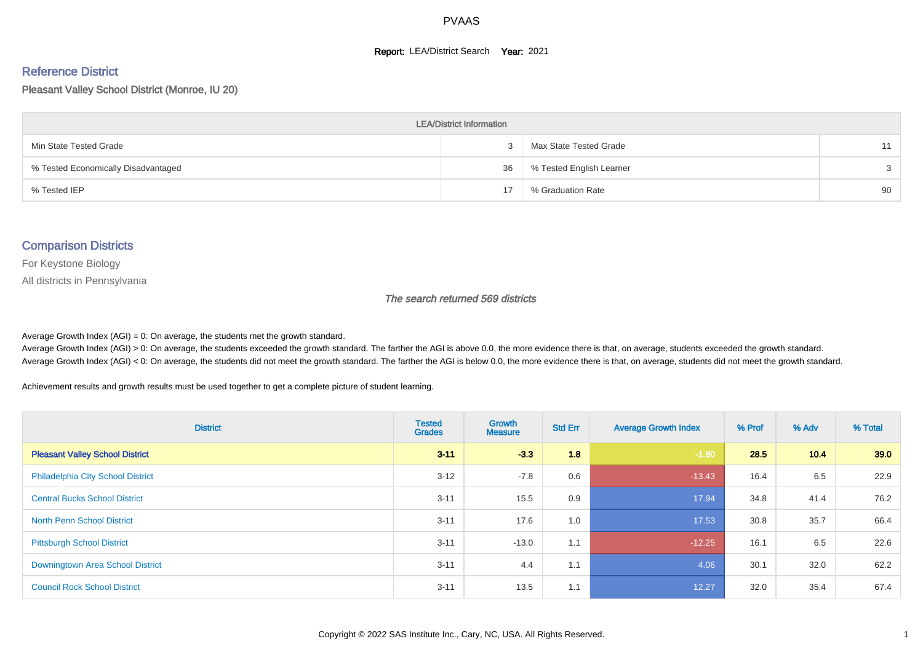#### **Report: LEA/District Search Year: 2021**

#### Reference District

Pleasant Valley School District (Monroe, IU 20)

| <b>LEA/District Information</b>     |    |                          |               |  |  |  |  |  |  |  |
|-------------------------------------|----|--------------------------|---------------|--|--|--|--|--|--|--|
| Min State Tested Grade              |    | Max State Tested Grade   | 11            |  |  |  |  |  |  |  |
| % Tested Economically Disadvantaged | 36 | % Tested English Learner | $\mathcal{S}$ |  |  |  |  |  |  |  |
| % Tested IEP                        | 17 | % Graduation Rate        | 90            |  |  |  |  |  |  |  |

#### Comparison Districts

For Keystone Biology

All districts in Pennsylvania

The search returned 569 districts

Average Growth Index  $(AGI) = 0$ : On average, the students met the growth standard.

Average Growth Index (AGI) > 0: On average, the students exceeded the growth standard. The farther the AGI is above 0.0, the more evidence there is that, on average, students exceeded the growth standard. Average Growth Index (AGI) < 0: On average, the students did not meet the growth standard. The farther the AGI is below 0.0, the more evidence there is that, on average, students did not meet the growth standard.

Achievement results and growth results must be used together to get a complete picture of student learning.

| <b>District</b>                          | <b>Tested</b><br><b>Grades</b> | <b>Growth</b><br><b>Measure</b> | <b>Std Err</b> | <b>Average Growth Index</b> | % Prof | % Adv | % Total |
|------------------------------------------|--------------------------------|---------------------------------|----------------|-----------------------------|--------|-------|---------|
| <b>Pleasant Valley School District</b>   | $3 - 11$                       | $-3.3$                          | 1.8            | $-1.80$                     | 28.5   | 10.4  | 39.0    |
| <b>Philadelphia City School District</b> | $3 - 12$                       | $-7.8$                          | 0.6            | $-13.43$                    | 16.4   | 6.5   | 22.9    |
| <b>Central Bucks School District</b>     | $3 - 11$                       | 15.5                            | 0.9            | 17.94                       | 34.8   | 41.4  | 76.2    |
| <b>North Penn School District</b>        | $3 - 11$                       | 17.6                            | 1.0            | 17.53                       | 30.8   | 35.7  | 66.4    |
| <b>Pittsburgh School District</b>        | $3 - 11$                       | $-13.0$                         | 1.1            | $-12.25$                    | 16.1   | 6.5   | 22.6    |
| Downingtown Area School District         | $3 - 11$                       | 4.4                             | 1.1            | 4.06                        | 30.1   | 32.0  | 62.2    |
| <b>Council Rock School District</b>      | $3 - 11$                       | 13.5                            | 1.1            | 12.27                       | 32.0   | 35.4  | 67.4    |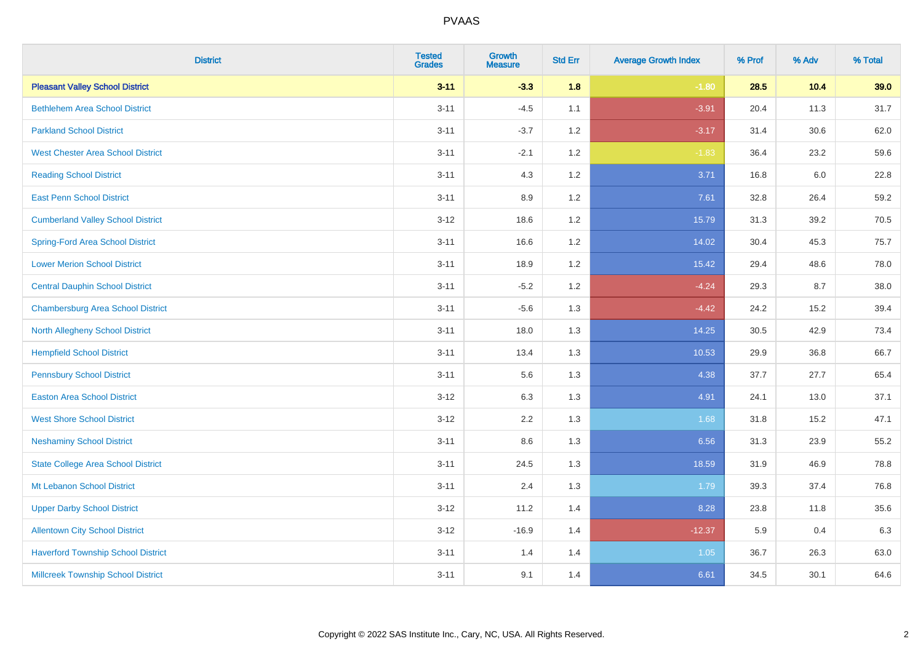| <b>District</b>                           | <b>Tested</b><br><b>Grades</b> | <b>Growth</b><br><b>Measure</b> | <b>Std Err</b> | <b>Average Growth Index</b> | % Prof | % Adv | % Total |
|-------------------------------------------|--------------------------------|---------------------------------|----------------|-----------------------------|--------|-------|---------|
| <b>Pleasant Valley School District</b>    | $3 - 11$                       | $-3.3$                          | 1.8            | $-1.80$                     | 28.5   | 10.4  | 39.0    |
| <b>Bethlehem Area School District</b>     | $3 - 11$                       | $-4.5$                          | 1.1            | $-3.91$                     | 20.4   | 11.3  | 31.7    |
| <b>Parkland School District</b>           | $3 - 11$                       | $-3.7$                          | $1.2$          | $-3.17$                     | 31.4   | 30.6  | 62.0    |
| <b>West Chester Area School District</b>  | $3 - 11$                       | $-2.1$                          | 1.2            | $-1.83$                     | 36.4   | 23.2  | 59.6    |
| <b>Reading School District</b>            | $3 - 11$                       | 4.3                             | 1.2            | 3.71                        | 16.8   | 6.0   | 22.8    |
| <b>East Penn School District</b>          | $3 - 11$                       | 8.9                             | 1.2            | 7.61                        | 32.8   | 26.4  | 59.2    |
| <b>Cumberland Valley School District</b>  | $3 - 12$                       | 18.6                            | $1.2$          | 15.79                       | 31.3   | 39.2  | 70.5    |
| <b>Spring-Ford Area School District</b>   | $3 - 11$                       | 16.6                            | 1.2            | 14.02                       | 30.4   | 45.3  | 75.7    |
| <b>Lower Merion School District</b>       | $3 - 11$                       | 18.9                            | 1.2            | 15.42                       | 29.4   | 48.6  | 78.0    |
| <b>Central Dauphin School District</b>    | $3 - 11$                       | $-5.2$                          | 1.2            | $-4.24$                     | 29.3   | 8.7   | 38.0    |
| <b>Chambersburg Area School District</b>  | $3 - 11$                       | $-5.6$                          | 1.3            | $-4.42$                     | 24.2   | 15.2  | 39.4    |
| <b>North Allegheny School District</b>    | $3 - 11$                       | 18.0                            | 1.3            | 14.25                       | 30.5   | 42.9  | 73.4    |
| <b>Hempfield School District</b>          | $3 - 11$                       | 13.4                            | 1.3            | 10.53                       | 29.9   | 36.8  | 66.7    |
| <b>Pennsbury School District</b>          | $3 - 11$                       | 5.6                             | 1.3            | 4.38                        | 37.7   | 27.7  | 65.4    |
| <b>Easton Area School District</b>        | $3 - 12$                       | 6.3                             | 1.3            | 4.91                        | 24.1   | 13.0  | 37.1    |
| <b>West Shore School District</b>         | $3 - 12$                       | 2.2                             | 1.3            | 1.68                        | 31.8   | 15.2  | 47.1    |
| <b>Neshaminy School District</b>          | $3 - 11$                       | 8.6                             | 1.3            | 6.56                        | 31.3   | 23.9  | 55.2    |
| <b>State College Area School District</b> | $3 - 11$                       | 24.5                            | 1.3            | 18.59                       | 31.9   | 46.9  | 78.8    |
| Mt Lebanon School District                | $3 - 11$                       | 2.4                             | 1.3            | 1.79                        | 39.3   | 37.4  | 76.8    |
| <b>Upper Darby School District</b>        | $3 - 12$                       | 11.2                            | 1.4            | 8.28                        | 23.8   | 11.8  | 35.6    |
| <b>Allentown City School District</b>     | $3 - 12$                       | $-16.9$                         | 1.4            | $-12.37$                    | 5.9    | 0.4   | 6.3     |
| <b>Haverford Township School District</b> | $3 - 11$                       | 1.4                             | 1.4            | 1.05                        | 36.7   | 26.3  | 63.0    |
| <b>Millcreek Township School District</b> | $3 - 11$                       | 9.1                             | 1.4            | 6.61                        | 34.5   | 30.1  | 64.6    |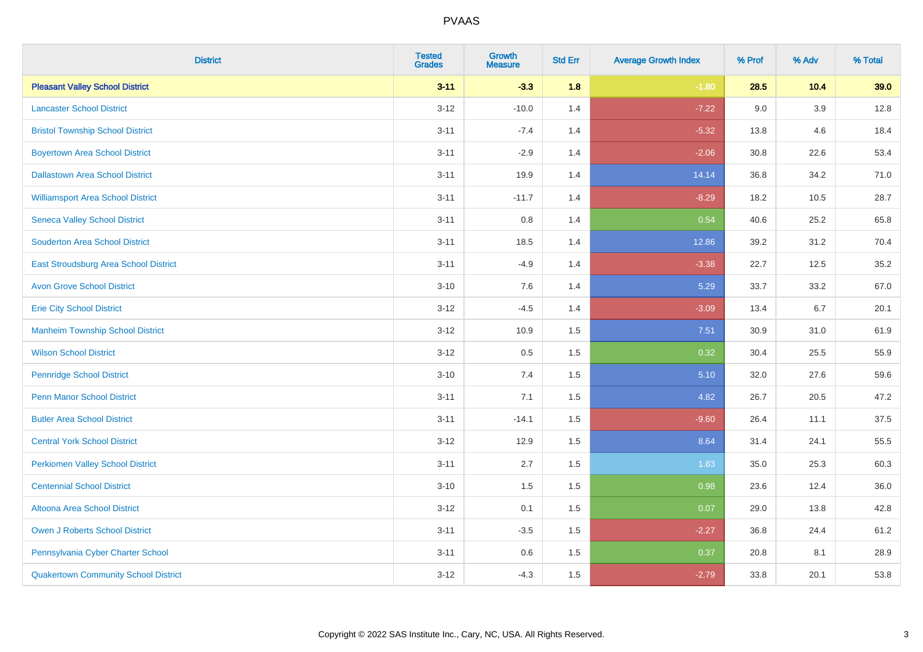| <b>District</b>                             | <b>Tested</b><br><b>Grades</b> | <b>Growth</b><br><b>Measure</b> | <b>Std Err</b> | <b>Average Growth Index</b> | % Prof | % Adv   | % Total |
|---------------------------------------------|--------------------------------|---------------------------------|----------------|-----------------------------|--------|---------|---------|
| <b>Pleasant Valley School District</b>      | $3 - 11$                       | $-3.3$                          | 1.8            | $-1.80$                     | 28.5   | 10.4    | 39.0    |
| <b>Lancaster School District</b>            | $3 - 12$                       | $-10.0$                         | 1.4            | $-7.22$                     | 9.0    | $3.9\,$ | 12.8    |
| <b>Bristol Township School District</b>     | $3 - 11$                       | $-7.4$                          | 1.4            | $-5.32$                     | 13.8   | 4.6     | 18.4    |
| <b>Boyertown Area School District</b>       | $3 - 11$                       | $-2.9$                          | 1.4            | $-2.06$                     | 30.8   | 22.6    | 53.4    |
| <b>Dallastown Area School District</b>      | $3 - 11$                       | 19.9                            | 1.4            | 14.14                       | 36.8   | 34.2    | 71.0    |
| <b>Williamsport Area School District</b>    | $3 - 11$                       | $-11.7$                         | 1.4            | $-8.29$                     | 18.2   | 10.5    | 28.7    |
| <b>Seneca Valley School District</b>        | $3 - 11$                       | 0.8                             | 1.4            | 0.54                        | 40.6   | 25.2    | 65.8    |
| <b>Souderton Area School District</b>       | $3 - 11$                       | 18.5                            | 1.4            | 12.86                       | 39.2   | 31.2    | 70.4    |
| East Stroudsburg Area School District       | $3 - 11$                       | $-4.9$                          | 1.4            | $-3.38$                     | 22.7   | 12.5    | 35.2    |
| <b>Avon Grove School District</b>           | $3 - 10$                       | 7.6                             | 1.4            | 5.29                        | 33.7   | 33.2    | 67.0    |
| <b>Erie City School District</b>            | $3 - 12$                       | $-4.5$                          | 1.4            | $-3.09$                     | 13.4   | 6.7     | 20.1    |
| <b>Manheim Township School District</b>     | $3 - 12$                       | 10.9                            | 1.5            | 7.51                        | 30.9   | 31.0    | 61.9    |
| <b>Wilson School District</b>               | $3 - 12$                       | 0.5                             | 1.5            | 0.32                        | 30.4   | 25.5    | 55.9    |
| <b>Pennridge School District</b>            | $3 - 10$                       | 7.4                             | 1.5            | 5.10                        | 32.0   | 27.6    | 59.6    |
| <b>Penn Manor School District</b>           | $3 - 11$                       | 7.1                             | 1.5            | 4.82                        | 26.7   | 20.5    | 47.2    |
| <b>Butler Area School District</b>          | $3 - 11$                       | $-14.1$                         | 1.5            | $-9.60$                     | 26.4   | 11.1    | 37.5    |
| <b>Central York School District</b>         | $3-12$                         | 12.9                            | 1.5            | 8.64                        | 31.4   | 24.1    | 55.5    |
| <b>Perkiomen Valley School District</b>     | $3 - 11$                       | 2.7                             | 1.5            | 1.83                        | 35.0   | 25.3    | 60.3    |
| <b>Centennial School District</b>           | $3 - 10$                       | 1.5                             | 1.5            | 0.98                        | 23.6   | 12.4    | 36.0    |
| Altoona Area School District                | $3-12$                         | 0.1                             | 1.5            | 0.07                        | 29.0   | 13.8    | 42.8    |
| <b>Owen J Roberts School District</b>       | $3 - 11$                       | $-3.5$                          | 1.5            | $-2.27$                     | 36.8   | 24.4    | 61.2    |
| Pennsylvania Cyber Charter School           | $3 - 11$                       | 0.6                             | 1.5            | 0.37                        | 20.8   | 8.1     | 28.9    |
| <b>Quakertown Community School District</b> | $3-12$                         | $-4.3$                          | 1.5            | $-2.79$                     | 33.8   | 20.1    | 53.8    |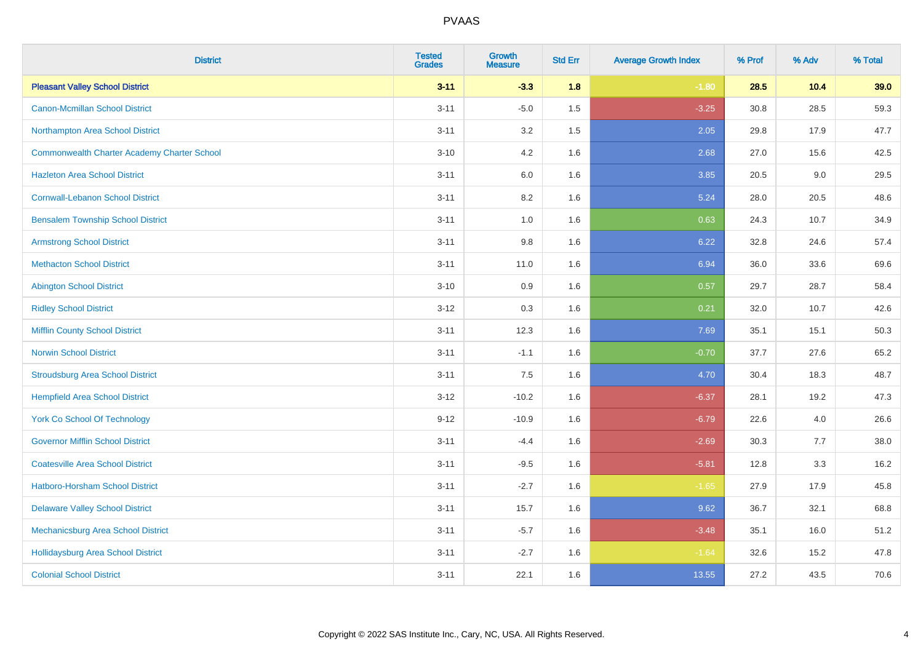| <b>District</b>                                    | <b>Tested</b><br><b>Grades</b> | <b>Growth</b><br><b>Measure</b> | <b>Std Err</b> | <b>Average Growth Index</b> | % Prof | % Adv | % Total |
|----------------------------------------------------|--------------------------------|---------------------------------|----------------|-----------------------------|--------|-------|---------|
| <b>Pleasant Valley School District</b>             | $3 - 11$                       | $-3.3$                          | 1.8            | $-1.80$                     | 28.5   | 10.4  | 39.0    |
| <b>Canon-Mcmillan School District</b>              | $3 - 11$                       | $-5.0$                          | 1.5            | $-3.25$                     | 30.8   | 28.5  | 59.3    |
| Northampton Area School District                   | $3 - 11$                       | 3.2                             | 1.5            | 2.05                        | 29.8   | 17.9  | 47.7    |
| <b>Commonwealth Charter Academy Charter School</b> | $3 - 10$                       | 4.2                             | 1.6            | 2.68                        | 27.0   | 15.6  | 42.5    |
| <b>Hazleton Area School District</b>               | $3 - 11$                       | 6.0                             | 1.6            | 3.85                        | 20.5   | 9.0   | 29.5    |
| <b>Cornwall-Lebanon School District</b>            | $3 - 11$                       | 8.2                             | 1.6            | 5.24                        | 28.0   | 20.5  | 48.6    |
| <b>Bensalem Township School District</b>           | $3 - 11$                       | 1.0                             | 1.6            | 0.63                        | 24.3   | 10.7  | 34.9    |
| <b>Armstrong School District</b>                   | $3 - 11$                       | 9.8                             | 1.6            | 6.22                        | 32.8   | 24.6  | 57.4    |
| <b>Methacton School District</b>                   | $3 - 11$                       | 11.0                            | 1.6            | 6.94                        | 36.0   | 33.6  | 69.6    |
| <b>Abington School District</b>                    | $3 - 10$                       | 0.9                             | 1.6            | 0.57                        | 29.7   | 28.7  | 58.4    |
| <b>Ridley School District</b>                      | $3 - 12$                       | 0.3                             | 1.6            | 0.21                        | 32.0   | 10.7  | 42.6    |
| <b>Mifflin County School District</b>              | $3 - 11$                       | 12.3                            | 1.6            | 7.69                        | 35.1   | 15.1  | 50.3    |
| <b>Norwin School District</b>                      | $3 - 11$                       | $-1.1$                          | 1.6            | $-0.70$                     | 37.7   | 27.6  | 65.2    |
| <b>Stroudsburg Area School District</b>            | $3 - 11$                       | $7.5\,$                         | 1.6            | 4.70                        | 30.4   | 18.3  | 48.7    |
| <b>Hempfield Area School District</b>              | $3 - 12$                       | $-10.2$                         | 1.6            | $-6.37$                     | 28.1   | 19.2  | 47.3    |
| <b>York Co School Of Technology</b>                | $9 - 12$                       | $-10.9$                         | 1.6            | $-6.79$                     | 22.6   | 4.0   | 26.6    |
| <b>Governor Mifflin School District</b>            | $3 - 11$                       | $-4.4$                          | 1.6            | $-2.69$                     | 30.3   | 7.7   | 38.0    |
| <b>Coatesville Area School District</b>            | $3 - 11$                       | $-9.5$                          | 1.6            | $-5.81$                     | 12.8   | 3.3   | 16.2    |
| Hatboro-Horsham School District                    | $3 - 11$                       | $-2.7$                          | 1.6            | $-1.65$                     | 27.9   | 17.9  | 45.8    |
| <b>Delaware Valley School District</b>             | $3 - 11$                       | 15.7                            | 1.6            | 9.62                        | 36.7   | 32.1  | 68.8    |
| Mechanicsburg Area School District                 | $3 - 11$                       | $-5.7$                          | 1.6            | $-3.48$                     | 35.1   | 16.0  | 51.2    |
| <b>Hollidaysburg Area School District</b>          | $3 - 11$                       | $-2.7$                          | 1.6            | $-1.64$                     | 32.6   | 15.2  | 47.8    |
| <b>Colonial School District</b>                    | $3 - 11$                       | 22.1                            | 1.6            | 13.55                       | 27.2   | 43.5  | 70.6    |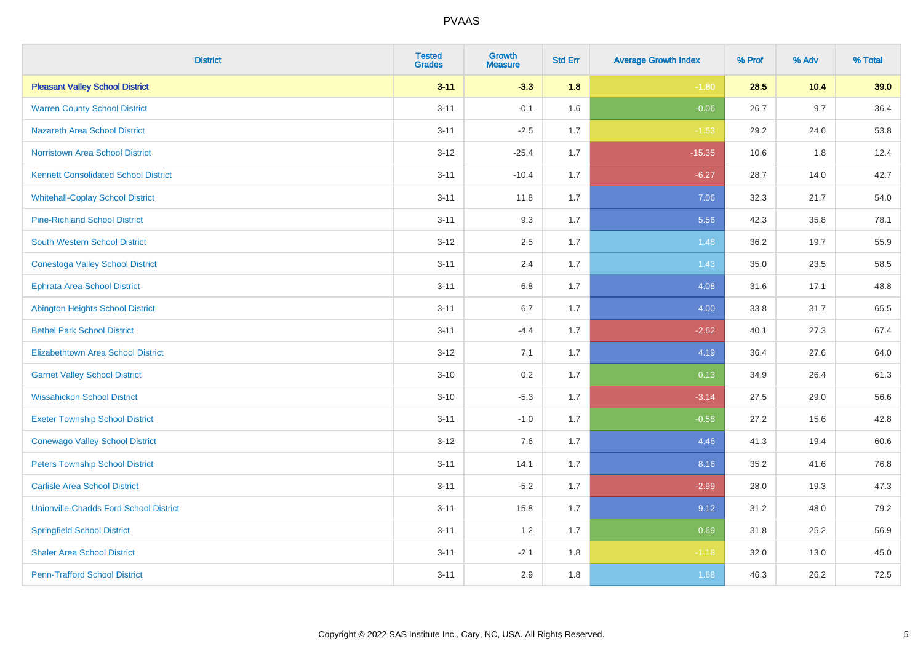| <b>District</b>                               | <b>Tested</b><br><b>Grades</b> | <b>Growth</b><br><b>Measure</b> | <b>Std Err</b> | <b>Average Growth Index</b> | % Prof | % Adv | % Total |
|-----------------------------------------------|--------------------------------|---------------------------------|----------------|-----------------------------|--------|-------|---------|
| <b>Pleasant Valley School District</b>        | $3 - 11$                       | $-3.3$                          | 1.8            | $-1.80$                     | 28.5   | 10.4  | 39.0    |
| <b>Warren County School District</b>          | $3 - 11$                       | $-0.1$                          | 1.6            | $-0.06$                     | 26.7   | 9.7   | 36.4    |
| <b>Nazareth Area School District</b>          | $3 - 11$                       | $-2.5$                          | 1.7            | $-1.53$                     | 29.2   | 24.6  | 53.8    |
| <b>Norristown Area School District</b>        | $3-12$                         | $-25.4$                         | 1.7            | $-15.35$                    | 10.6   | 1.8   | 12.4    |
| <b>Kennett Consolidated School District</b>   | $3 - 11$                       | $-10.4$                         | 1.7            | $-6.27$                     | 28.7   | 14.0  | 42.7    |
| <b>Whitehall-Coplay School District</b>       | $3 - 11$                       | 11.8                            | 1.7            | 7.06                        | 32.3   | 21.7  | 54.0    |
| <b>Pine-Richland School District</b>          | $3 - 11$                       | 9.3                             | 1.7            | 5.56                        | 42.3   | 35.8  | 78.1    |
| <b>South Western School District</b>          | $3 - 12$                       | 2.5                             | 1.7            | 1.48                        | 36.2   | 19.7  | 55.9    |
| <b>Conestoga Valley School District</b>       | $3 - 11$                       | 2.4                             | 1.7            | 1.43                        | 35.0   | 23.5  | 58.5    |
| <b>Ephrata Area School District</b>           | $3 - 11$                       | 6.8                             | 1.7            | 4.08                        | 31.6   | 17.1  | 48.8    |
| Abington Heights School District              | $3 - 11$                       | 6.7                             | 1.7            | 4.00                        | 33.8   | 31.7  | 65.5    |
| <b>Bethel Park School District</b>            | $3 - 11$                       | $-4.4$                          | 1.7            | $-2.62$                     | 40.1   | 27.3  | 67.4    |
| <b>Elizabethtown Area School District</b>     | $3 - 12$                       | 7.1                             | 1.7            | 4.19                        | 36.4   | 27.6  | 64.0    |
| <b>Garnet Valley School District</b>          | $3 - 10$                       | 0.2                             | 1.7            | 0.13                        | 34.9   | 26.4  | 61.3    |
| <b>Wissahickon School District</b>            | $3 - 10$                       | $-5.3$                          | 1.7            | $-3.14$                     | 27.5   | 29.0  | 56.6    |
| <b>Exeter Township School District</b>        | $3 - 11$                       | $-1.0$                          | 1.7            | $-0.58$                     | 27.2   | 15.6  | 42.8    |
| <b>Conewago Valley School District</b>        | $3 - 12$                       | 7.6                             | 1.7            | 4.46                        | 41.3   | 19.4  | 60.6    |
| <b>Peters Township School District</b>        | $3 - 11$                       | 14.1                            | 1.7            | 8.16                        | 35.2   | 41.6  | 76.8    |
| <b>Carlisle Area School District</b>          | $3 - 11$                       | $-5.2$                          | 1.7            | $-2.99$                     | 28.0   | 19.3  | 47.3    |
| <b>Unionville-Chadds Ford School District</b> | $3 - 11$                       | 15.8                            | 1.7            | 9.12                        | 31.2   | 48.0  | 79.2    |
| <b>Springfield School District</b>            | $3 - 11$                       | 1.2                             | 1.7            | 0.69                        | 31.8   | 25.2  | 56.9    |
| <b>Shaler Area School District</b>            | $3 - 11$                       | $-2.1$                          | 1.8            | $-1.18$                     | 32.0   | 13.0  | 45.0    |
| <b>Penn-Trafford School District</b>          | $3 - 11$                       | 2.9                             | 1.8            | 1.68                        | 46.3   | 26.2  | 72.5    |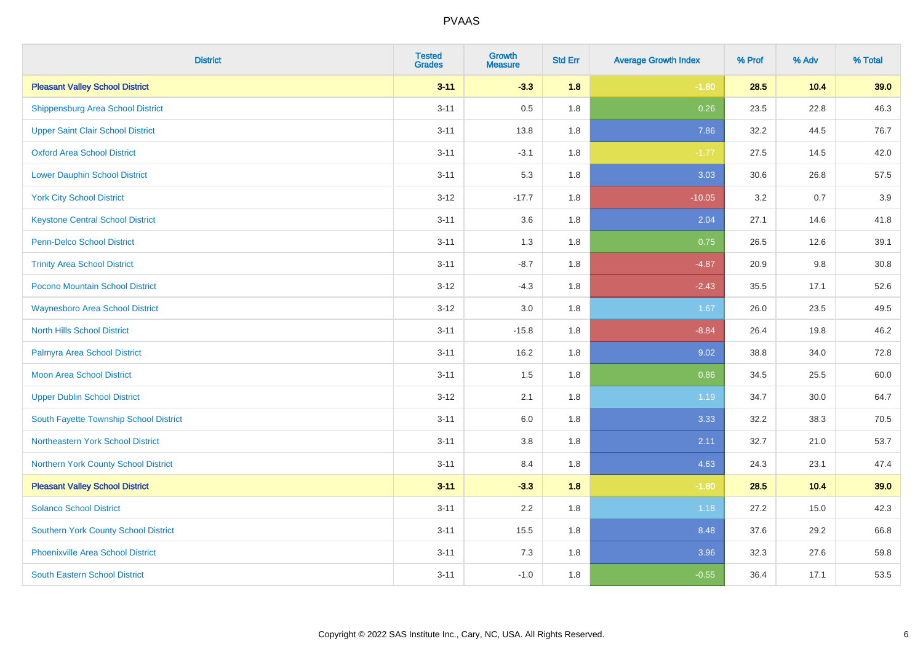| <b>District</b>                          | <b>Tested</b><br><b>Grades</b> | <b>Growth</b><br><b>Measure</b> | <b>Std Err</b> | <b>Average Growth Index</b> | % Prof | % Adv | % Total |
|------------------------------------------|--------------------------------|---------------------------------|----------------|-----------------------------|--------|-------|---------|
| <b>Pleasant Valley School District</b>   | $3 - 11$                       | $-3.3$                          | 1.8            | $-1.80$                     | 28.5   | 10.4  | 39.0    |
| <b>Shippensburg Area School District</b> | $3 - 11$                       | 0.5                             | 1.8            | 0.26                        | 23.5   | 22.8  | 46.3    |
| <b>Upper Saint Clair School District</b> | $3 - 11$                       | 13.8                            | 1.8            | 7.86                        | 32.2   | 44.5  | 76.7    |
| <b>Oxford Area School District</b>       | $3 - 11$                       | $-3.1$                          | 1.8            | $-1.77$                     | 27.5   | 14.5  | 42.0    |
| <b>Lower Dauphin School District</b>     | $3 - 11$                       | 5.3                             | 1.8            | 3.03                        | 30.6   | 26.8  | 57.5    |
| <b>York City School District</b>         | $3 - 12$                       | $-17.7$                         | 1.8            | $-10.05$                    | 3.2    | 0.7   | 3.9     |
| <b>Keystone Central School District</b>  | $3 - 11$                       | 3.6                             | 1.8            | 2.04                        | 27.1   | 14.6  | 41.8    |
| <b>Penn-Delco School District</b>        | $3 - 11$                       | 1.3                             | 1.8            | 0.75                        | 26.5   | 12.6  | 39.1    |
| <b>Trinity Area School District</b>      | $3 - 11$                       | $-8.7$                          | 1.8            | $-4.87$                     | 20.9   | 9.8   | 30.8    |
| Pocono Mountain School District          | $3 - 12$                       | $-4.3$                          | 1.8            | $-2.43$                     | 35.5   | 17.1  | 52.6    |
| <b>Waynesboro Area School District</b>   | $3 - 12$                       | 3.0                             | 1.8            | 1.67                        | 26.0   | 23.5  | 49.5    |
| <b>North Hills School District</b>       | $3 - 11$                       | $-15.8$                         | 1.8            | $-8.84$                     | 26.4   | 19.8  | 46.2    |
| Palmyra Area School District             | $3 - 11$                       | 16.2                            | 1.8            | 9.02                        | 38.8   | 34.0  | 72.8    |
| <b>Moon Area School District</b>         | $3 - 11$                       | 1.5                             | 1.8            | 0.86                        | 34.5   | 25.5  | 60.0    |
| <b>Upper Dublin School District</b>      | $3 - 12$                       | 2.1                             | 1.8            | 1.19                        | 34.7   | 30.0  | 64.7    |
| South Fayette Township School District   | $3 - 11$                       | 6.0                             | 1.8            | 3.33                        | 32.2   | 38.3  | 70.5    |
| Northeastern York School District        | $3 - 11$                       | $3.8\,$                         | 1.8            | 2.11                        | 32.7   | 21.0  | 53.7    |
| Northern York County School District     | $3 - 11$                       | 8.4                             | 1.8            | 4.63                        | 24.3   | 23.1  | 47.4    |
| <b>Pleasant Valley School District</b>   | $3 - 11$                       | $-3.3$                          | 1.8            | $-1.80$                     | 28.5   | 10.4  | 39.0    |
| <b>Solanco School District</b>           | $3 - 11$                       | 2.2                             | 1.8            | 1.18                        | 27.2   | 15.0  | 42.3    |
| Southern York County School District     | $3 - 11$                       | 15.5                            | 1.8            | 8.48                        | 37.6   | 29.2  | 66.8    |
| <b>Phoenixville Area School District</b> | $3 - 11$                       | 7.3                             | 1.8            | 3.96                        | 32.3   | 27.6  | 59.8    |
| <b>South Eastern School District</b>     | $3 - 11$                       | $-1.0$                          | 1.8            | $-0.55$                     | 36.4   | 17.1  | 53.5    |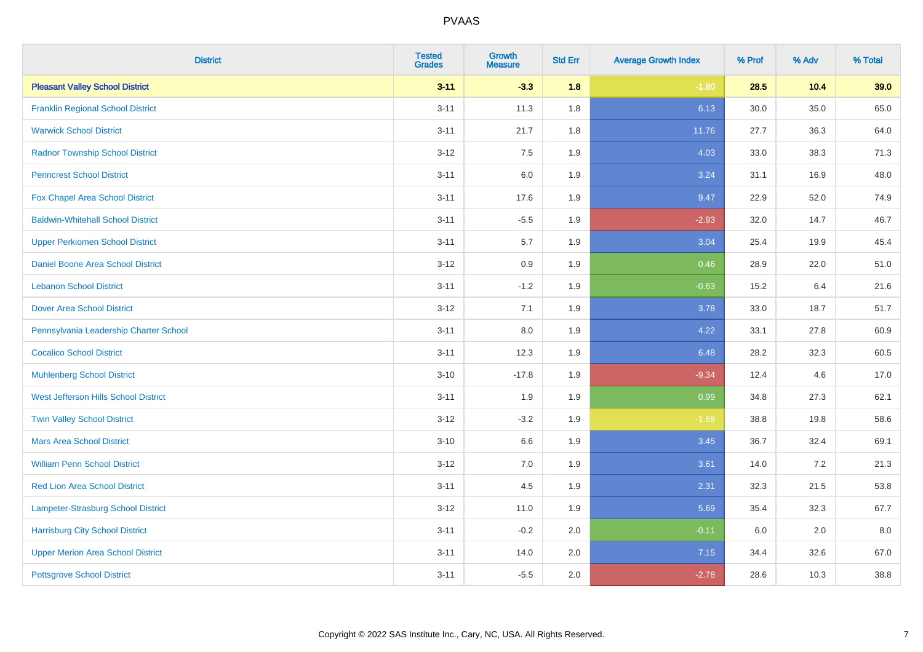| <b>District</b>                           | <b>Tested</b><br><b>Grades</b> | <b>Growth</b><br><b>Measure</b> | <b>Std Err</b> | <b>Average Growth Index</b> | % Prof | % Adv | % Total |
|-------------------------------------------|--------------------------------|---------------------------------|----------------|-----------------------------|--------|-------|---------|
| <b>Pleasant Valley School District</b>    | $3 - 11$                       | $-3.3$                          | 1.8            | $-1.80$                     | 28.5   | 10.4  | 39.0    |
| <b>Franklin Regional School District</b>  | $3 - 11$                       | 11.3                            | 1.8            | 6.13                        | 30.0   | 35.0  | 65.0    |
| <b>Warwick School District</b>            | $3 - 11$                       | 21.7                            | 1.8            | 11.76                       | 27.7   | 36.3  | 64.0    |
| <b>Radnor Township School District</b>    | $3 - 12$                       | 7.5                             | 1.9            | 4.03                        | 33.0   | 38.3  | 71.3    |
| <b>Penncrest School District</b>          | $3 - 11$                       | 6.0                             | 1.9            | 3.24                        | 31.1   | 16.9  | 48.0    |
| Fox Chapel Area School District           | $3 - 11$                       | 17.6                            | 1.9            | 9.47                        | 22.9   | 52.0  | 74.9    |
| <b>Baldwin-Whitehall School District</b>  | $3 - 11$                       | $-5.5$                          | 1.9            | $-2.93$                     | 32.0   | 14.7  | 46.7    |
| <b>Upper Perkiomen School District</b>    | $3 - 11$                       | 5.7                             | 1.9            | 3.04                        | 25.4   | 19.9  | 45.4    |
| <b>Daniel Boone Area School District</b>  | $3 - 12$                       | 0.9                             | 1.9            | 0.46                        | 28.9   | 22.0  | 51.0    |
| <b>Lebanon School District</b>            | $3 - 11$                       | $-1.2$                          | 1.9            | $-0.63$                     | 15.2   | 6.4   | 21.6    |
| <b>Dover Area School District</b>         | $3-12$                         | 7.1                             | 1.9            | 3.78                        | 33.0   | 18.7  | 51.7    |
| Pennsylvania Leadership Charter School    | $3 - 11$                       | 8.0                             | 1.9            | 4.22                        | 33.1   | 27.8  | 60.9    |
| <b>Cocalico School District</b>           | $3 - 11$                       | 12.3                            | 1.9            | 6.48                        | 28.2   | 32.3  | 60.5    |
| <b>Muhlenberg School District</b>         | $3 - 10$                       | $-17.8$                         | 1.9            | $-9.34$                     | 12.4   | 4.6   | 17.0    |
| West Jefferson Hills School District      | $3 - 11$                       | 1.9                             | 1.9            | 0.99                        | 34.8   | 27.3  | 62.1    |
| <b>Twin Valley School District</b>        | $3 - 12$                       | $-3.2$                          | 1.9            | $-1.68$                     | 38.8   | 19.8  | 58.6    |
| <b>Mars Area School District</b>          | $3 - 10$                       | 6.6                             | 1.9            | 3.45                        | 36.7   | 32.4  | 69.1    |
| <b>William Penn School District</b>       | $3 - 12$                       | 7.0                             | 1.9            | 3.61                        | 14.0   | 7.2   | 21.3    |
| Red Lion Area School District             | $3 - 11$                       | 4.5                             | 1.9            | 2.31                        | 32.3   | 21.5  | 53.8    |
| <b>Lampeter-Strasburg School District</b> | $3 - 12$                       | 11.0                            | 1.9            | 5.69                        | 35.4   | 32.3  | 67.7    |
| <b>Harrisburg City School District</b>    | $3 - 11$                       | $-0.2$                          | 2.0            | $-0.11$                     | 6.0    | 2.0   | 8.0     |
| <b>Upper Merion Area School District</b>  | $3 - 11$                       | 14.0                            | 2.0            | 7.15                        | 34.4   | 32.6  | 67.0    |
| <b>Pottsgrove School District</b>         | $3 - 11$                       | $-5.5$                          | 2.0            | $-2.78$                     | 28.6   | 10.3  | 38.8    |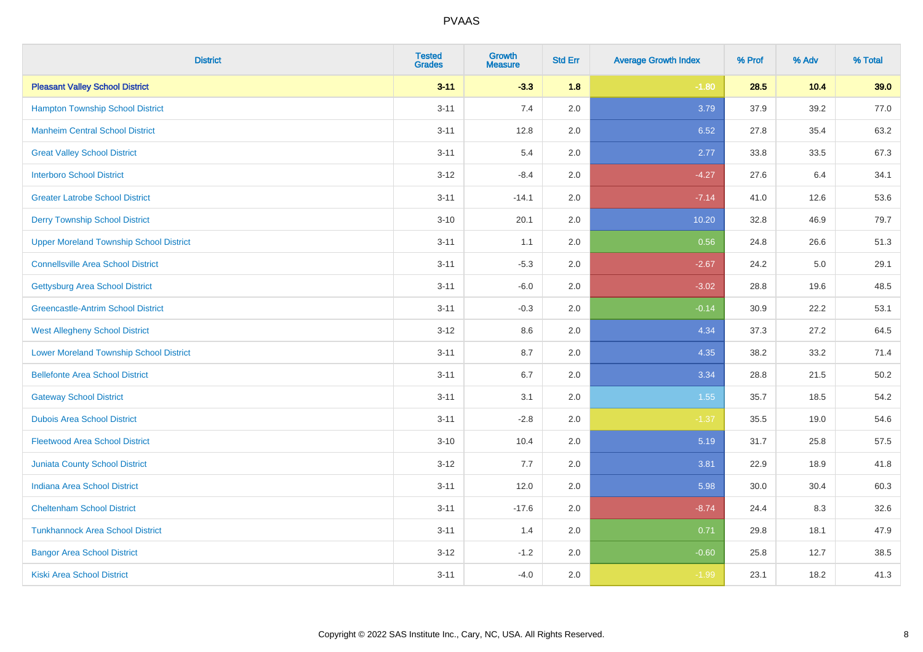| <b>District</b>                                | <b>Tested</b><br><b>Grades</b> | <b>Growth</b><br><b>Measure</b> | <b>Std Err</b> | <b>Average Growth Index</b> | % Prof | % Adv | % Total |
|------------------------------------------------|--------------------------------|---------------------------------|----------------|-----------------------------|--------|-------|---------|
| <b>Pleasant Valley School District</b>         | $3 - 11$                       | $-3.3$                          | 1.8            | $-1.80$                     | 28.5   | 10.4  | 39.0    |
| <b>Hampton Township School District</b>        | $3 - 11$                       | 7.4                             | 2.0            | 3.79                        | 37.9   | 39.2  | 77.0    |
| <b>Manheim Central School District</b>         | $3 - 11$                       | 12.8                            | 2.0            | 6.52                        | 27.8   | 35.4  | 63.2    |
| <b>Great Valley School District</b>            | $3 - 11$                       | 5.4                             | 2.0            | 2.77                        | 33.8   | 33.5  | 67.3    |
| <b>Interboro School District</b>               | $3-12$                         | $-8.4$                          | 2.0            | $-4.27$                     | 27.6   | 6.4   | 34.1    |
| <b>Greater Latrobe School District</b>         | $3 - 11$                       | $-14.1$                         | 2.0            | $-7.14$                     | 41.0   | 12.6  | 53.6    |
| <b>Derry Township School District</b>          | $3 - 10$                       | 20.1                            | 2.0            | 10.20                       | 32.8   | 46.9  | 79.7    |
| <b>Upper Moreland Township School District</b> | $3 - 11$                       | 1.1                             | 2.0            | 0.56                        | 24.8   | 26.6  | 51.3    |
| <b>Connellsville Area School District</b>      | $3 - 11$                       | $-5.3$                          | 2.0            | $-2.67$                     | 24.2   | 5.0   | 29.1    |
| Gettysburg Area School District                | $3 - 11$                       | $-6.0$                          | 2.0            | $-3.02$                     | 28.8   | 19.6  | 48.5    |
| <b>Greencastle-Antrim School District</b>      | $3 - 11$                       | $-0.3$                          | 2.0            | $-0.14$                     | 30.9   | 22.2  | 53.1    |
| <b>West Allegheny School District</b>          | $3 - 12$                       | 8.6                             | 2.0            | 4.34                        | 37.3   | 27.2  | 64.5    |
| <b>Lower Moreland Township School District</b> | $3 - 11$                       | 8.7                             | 2.0            | 4.35                        | 38.2   | 33.2  | 71.4    |
| <b>Bellefonte Area School District</b>         | $3 - 11$                       | 6.7                             | 2.0            | 3.34                        | 28.8   | 21.5  | 50.2    |
| <b>Gateway School District</b>                 | $3 - 11$                       | 3.1                             | 2.0            | 1.55                        | 35.7   | 18.5  | 54.2    |
| <b>Dubois Area School District</b>             | $3 - 11$                       | $-2.8$                          | 2.0            | $-1.37$                     | 35.5   | 19.0  | 54.6    |
| <b>Fleetwood Area School District</b>          | $3 - 10$                       | 10.4                            | 2.0            | 5.19                        | 31.7   | 25.8  | 57.5    |
| Juniata County School District                 | $3-12$                         | 7.7                             | 2.0            | 3.81                        | 22.9   | 18.9  | 41.8    |
| <b>Indiana Area School District</b>            | $3 - 11$                       | 12.0                            | 2.0            | 5.98                        | 30.0   | 30.4  | 60.3    |
| <b>Cheltenham School District</b>              | $3 - 11$                       | $-17.6$                         | 2.0            | $-8.74$                     | 24.4   | 8.3   | 32.6    |
| <b>Tunkhannock Area School District</b>        | $3 - 11$                       | 1.4                             | 2.0            | 0.71                        | 29.8   | 18.1  | 47.9    |
| <b>Bangor Area School District</b>             | $3-12$                         | $-1.2$                          | 2.0            | $-0.60$                     | 25.8   | 12.7  | 38.5    |
| Kiski Area School District                     | $3 - 11$                       | $-4.0$                          | 2.0            | $-1.99$                     | 23.1   | 18.2  | 41.3    |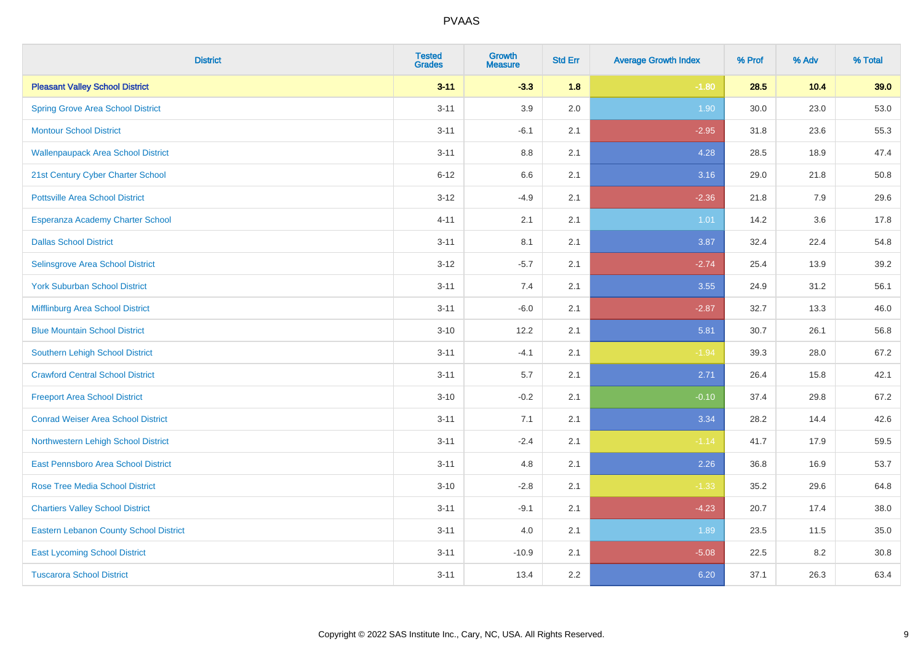| <b>District</b>                               | <b>Tested</b><br><b>Grades</b> | <b>Growth</b><br><b>Measure</b> | <b>Std Err</b> | <b>Average Growth Index</b> | % Prof | % Adv | % Total |
|-----------------------------------------------|--------------------------------|---------------------------------|----------------|-----------------------------|--------|-------|---------|
| <b>Pleasant Valley School District</b>        | $3 - 11$                       | $-3.3$                          | 1.8            | $-1.80$                     | 28.5   | 10.4  | 39.0    |
| <b>Spring Grove Area School District</b>      | $3 - 11$                       | 3.9                             | 2.0            | 1.90                        | 30.0   | 23.0  | 53.0    |
| <b>Montour School District</b>                | $3 - 11$                       | $-6.1$                          | 2.1            | $-2.95$                     | 31.8   | 23.6  | 55.3    |
| <b>Wallenpaupack Area School District</b>     | $3 - 11$                       | $8.8\,$                         | 2.1            | 4.28                        | 28.5   | 18.9  | 47.4    |
| 21st Century Cyber Charter School             | $6 - 12$                       | 6.6                             | 2.1            | 3.16                        | 29.0   | 21.8  | 50.8    |
| <b>Pottsville Area School District</b>        | $3 - 12$                       | $-4.9$                          | 2.1            | $-2.36$                     | 21.8   | 7.9   | 29.6    |
| Esperanza Academy Charter School              | $4 - 11$                       | 2.1                             | 2.1            | 1.01                        | 14.2   | 3.6   | 17.8    |
| <b>Dallas School District</b>                 | $3 - 11$                       | 8.1                             | 2.1            | 3.87                        | 32.4   | 22.4  | 54.8    |
| Selinsgrove Area School District              | $3 - 12$                       | $-5.7$                          | 2.1            | $-2.74$                     | 25.4   | 13.9  | 39.2    |
| <b>York Suburban School District</b>          | $3 - 11$                       | 7.4                             | 2.1            | 3.55                        | 24.9   | 31.2  | 56.1    |
| Mifflinburg Area School District              | $3 - 11$                       | $-6.0$                          | 2.1            | $-2.87$                     | 32.7   | 13.3  | 46.0    |
| <b>Blue Mountain School District</b>          | $3 - 10$                       | 12.2                            | 2.1            | 5.81                        | 30.7   | 26.1  | 56.8    |
| Southern Lehigh School District               | $3 - 11$                       | $-4.1$                          | 2.1            | $-1.94$                     | 39.3   | 28.0  | 67.2    |
| <b>Crawford Central School District</b>       | $3 - 11$                       | 5.7                             | 2.1            | 2.71                        | 26.4   | 15.8  | 42.1    |
| <b>Freeport Area School District</b>          | $3 - 10$                       | $-0.2$                          | 2.1            | $-0.10$                     | 37.4   | 29.8  | 67.2    |
| <b>Conrad Weiser Area School District</b>     | $3 - 11$                       | 7.1                             | 2.1            | 3.34                        | 28.2   | 14.4  | 42.6    |
| Northwestern Lehigh School District           | $3 - 11$                       | $-2.4$                          | 2.1            | $-1.14$                     | 41.7   | 17.9  | 59.5    |
| East Pennsboro Area School District           | $3 - 11$                       | 4.8                             | 2.1            | 2.26                        | 36.8   | 16.9  | 53.7    |
| <b>Rose Tree Media School District</b>        | $3 - 10$                       | $-2.8$                          | 2.1            | $-1.33$                     | 35.2   | 29.6  | 64.8    |
| <b>Chartiers Valley School District</b>       | $3 - 11$                       | $-9.1$                          | 2.1            | $-4.23$                     | 20.7   | 17.4  | 38.0    |
| <b>Eastern Lebanon County School District</b> | $3 - 11$                       | 4.0                             | 2.1            | 1.89                        | 23.5   | 11.5  | 35.0    |
| <b>East Lycoming School District</b>          | $3 - 11$                       | $-10.9$                         | 2.1            | $-5.08$                     | 22.5   | 8.2   | 30.8    |
| <b>Tuscarora School District</b>              | $3 - 11$                       | 13.4                            | 2.2            | 6.20                        | 37.1   | 26.3  | 63.4    |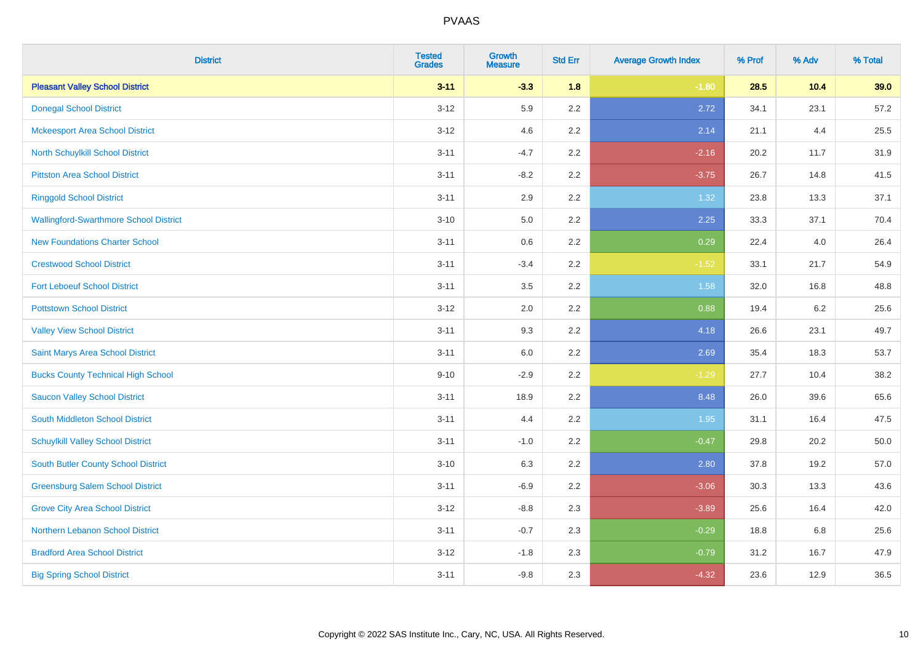| <b>District</b>                               | <b>Tested</b><br><b>Grades</b> | <b>Growth</b><br><b>Measure</b> | <b>Std Err</b> | <b>Average Growth Index</b> | % Prof | % Adv | % Total |
|-----------------------------------------------|--------------------------------|---------------------------------|----------------|-----------------------------|--------|-------|---------|
| <b>Pleasant Valley School District</b>        | $3 - 11$                       | $-3.3$                          | 1.8            | $-1.80$                     | 28.5   | 10.4  | 39.0    |
| <b>Donegal School District</b>                | $3 - 12$                       | 5.9                             | 2.2            | 2.72                        | 34.1   | 23.1  | 57.2    |
| <b>Mckeesport Area School District</b>        | $3 - 12$                       | 4.6                             | 2.2            | 2.14                        | 21.1   | 4.4   | 25.5    |
| North Schuylkill School District              | $3 - 11$                       | $-4.7$                          | 2.2            | $-2.16$                     | 20.2   | 11.7  | 31.9    |
| <b>Pittston Area School District</b>          | $3 - 11$                       | $-8.2$                          | 2.2            | $-3.75$                     | 26.7   | 14.8  | 41.5    |
| <b>Ringgold School District</b>               | $3 - 11$                       | 2.9                             | 2.2            | 1.32                        | 23.8   | 13.3  | 37.1    |
| <b>Wallingford-Swarthmore School District</b> | $3 - 10$                       | 5.0                             | 2.2            | 2.25                        | 33.3   | 37.1  | 70.4    |
| <b>New Foundations Charter School</b>         | $3 - 11$                       | 0.6                             | 2.2            | 0.29                        | 22.4   | 4.0   | 26.4    |
| <b>Crestwood School District</b>              | $3 - 11$                       | $-3.4$                          | 2.2            | $-1.52$                     | 33.1   | 21.7  | 54.9    |
| <b>Fort Leboeuf School District</b>           | $3 - 11$                       | 3.5                             | 2.2            | 1.58                        | 32.0   | 16.8  | 48.8    |
| <b>Pottstown School District</b>              | $3 - 12$                       | 2.0                             | 2.2            | 0.88                        | 19.4   | 6.2   | 25.6    |
| <b>Valley View School District</b>            | $3 - 11$                       | 9.3                             | 2.2            | 4.18                        | 26.6   | 23.1  | 49.7    |
| Saint Marys Area School District              | $3 - 11$                       | $6.0\,$                         | 2.2            | 2.69                        | 35.4   | 18.3  | 53.7    |
| <b>Bucks County Technical High School</b>     | $9 - 10$                       | $-2.9$                          | 2.2            | $-1.29$                     | 27.7   | 10.4  | 38.2    |
| <b>Saucon Valley School District</b>          | $3 - 11$                       | 18.9                            | 2.2            | 8.48                        | 26.0   | 39.6  | 65.6    |
| South Middleton School District               | $3 - 11$                       | 4.4                             | 2.2            | 1.95                        | 31.1   | 16.4  | 47.5    |
| <b>Schuylkill Valley School District</b>      | $3 - 11$                       | $-1.0$                          | 2.2            | $-0.47$                     | 29.8   | 20.2  | 50.0    |
| South Butler County School District           | $3 - 10$                       | 6.3                             | 2.2            | 2.80                        | 37.8   | 19.2  | 57.0    |
| <b>Greensburg Salem School District</b>       | $3 - 11$                       | $-6.9$                          | 2.2            | $-3.06$                     | 30.3   | 13.3  | 43.6    |
| <b>Grove City Area School District</b>        | $3 - 12$                       | $-8.8$                          | 2.3            | $-3.89$                     | 25.6   | 16.4  | 42.0    |
| Northern Lebanon School District              | $3 - 11$                       | $-0.7$                          | 2.3            | $-0.29$                     | 18.8   | 6.8   | 25.6    |
| <b>Bradford Area School District</b>          | $3-12$                         | $-1.8$                          | 2.3            | $-0.79$                     | 31.2   | 16.7  | 47.9    |
| <b>Big Spring School District</b>             | $3 - 11$                       | $-9.8$                          | 2.3            | $-4.32$                     | 23.6   | 12.9  | 36.5    |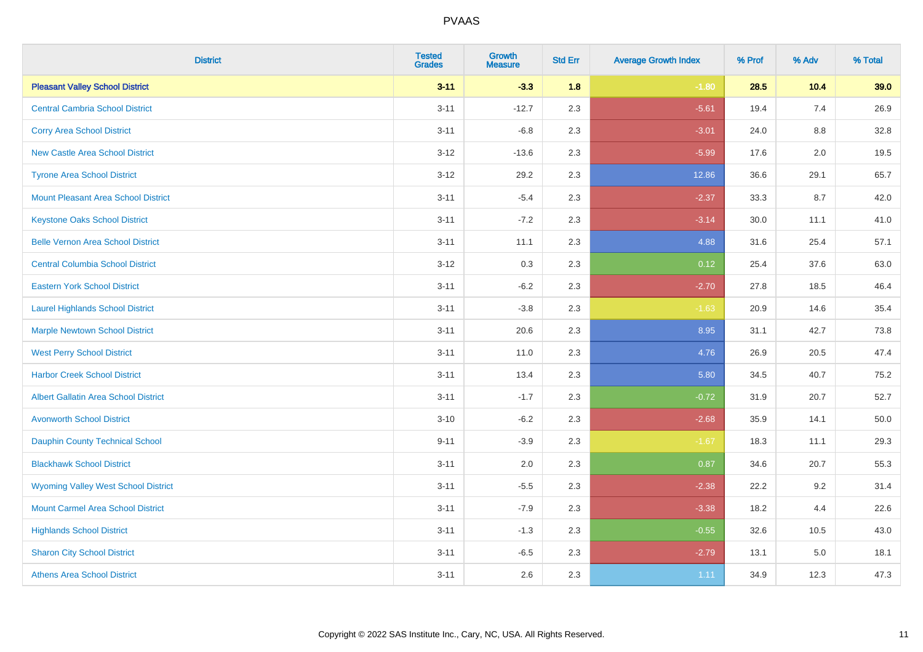| <b>District</b>                             | <b>Tested</b><br><b>Grades</b> | <b>Growth</b><br><b>Measure</b> | <b>Std Err</b> | <b>Average Growth Index</b> | % Prof | % Adv | % Total |
|---------------------------------------------|--------------------------------|---------------------------------|----------------|-----------------------------|--------|-------|---------|
| <b>Pleasant Valley School District</b>      | $3 - 11$                       | $-3.3$                          | 1.8            | $-1.80$                     | 28.5   | 10.4  | 39.0    |
| <b>Central Cambria School District</b>      | $3 - 11$                       | $-12.7$                         | 2.3            | $-5.61$                     | 19.4   | 7.4   | 26.9    |
| <b>Corry Area School District</b>           | $3 - 11$                       | $-6.8$                          | 2.3            | $-3.01$                     | 24.0   | 8.8   | 32.8    |
| <b>New Castle Area School District</b>      | $3 - 12$                       | $-13.6$                         | 2.3            | $-5.99$                     | 17.6   | 2.0   | 19.5    |
| <b>Tyrone Area School District</b>          | $3 - 12$                       | 29.2                            | 2.3            | 12.86                       | 36.6   | 29.1  | 65.7    |
| <b>Mount Pleasant Area School District</b>  | $3 - 11$                       | $-5.4$                          | 2.3            | $-2.37$                     | 33.3   | 8.7   | 42.0    |
| <b>Keystone Oaks School District</b>        | $3 - 11$                       | $-7.2$                          | 2.3            | $-3.14$                     | 30.0   | 11.1  | 41.0    |
| <b>Belle Vernon Area School District</b>    | $3 - 11$                       | 11.1                            | 2.3            | 4.88                        | 31.6   | 25.4  | 57.1    |
| <b>Central Columbia School District</b>     | $3 - 12$                       | 0.3                             | 2.3            | 0.12                        | 25.4   | 37.6  | 63.0    |
| <b>Eastern York School District</b>         | $3 - 11$                       | $-6.2$                          | 2.3            | $-2.70$                     | 27.8   | 18.5  | 46.4    |
| <b>Laurel Highlands School District</b>     | $3 - 11$                       | $-3.8$                          | 2.3            | $-1.63$                     | 20.9   | 14.6  | 35.4    |
| <b>Marple Newtown School District</b>       | $3 - 11$                       | 20.6                            | 2.3            | 8.95                        | 31.1   | 42.7  | 73.8    |
| <b>West Perry School District</b>           | $3 - 11$                       | 11.0                            | 2.3            | 4.76                        | 26.9   | 20.5  | 47.4    |
| <b>Harbor Creek School District</b>         | $3 - 11$                       | 13.4                            | 2.3            | 5.80                        | 34.5   | 40.7  | 75.2    |
| <b>Albert Gallatin Area School District</b> | $3 - 11$                       | $-1.7$                          | 2.3            | $-0.72$                     | 31.9   | 20.7  | 52.7    |
| <b>Avonworth School District</b>            | $3 - 10$                       | $-6.2$                          | 2.3            | $-2.68$                     | 35.9   | 14.1  | 50.0    |
| Dauphin County Technical School             | $9 - 11$                       | $-3.9$                          | 2.3            | $-1.67$                     | 18.3   | 11.1  | 29.3    |
| <b>Blackhawk School District</b>            | $3 - 11$                       | 2.0                             | 2.3            | 0.87                        | 34.6   | 20.7  | 55.3    |
| <b>Wyoming Valley West School District</b>  | $3 - 11$                       | $-5.5$                          | 2.3            | $-2.38$                     | 22.2   | 9.2   | 31.4    |
| <b>Mount Carmel Area School District</b>    | $3 - 11$                       | $-7.9$                          | 2.3            | $-3.38$                     | 18.2   | 4.4   | 22.6    |
| <b>Highlands School District</b>            | $3 - 11$                       | $-1.3$                          | 2.3            | $-0.55$                     | 32.6   | 10.5  | 43.0    |
| <b>Sharon City School District</b>          | $3 - 11$                       | $-6.5$                          | 2.3            | $-2.79$                     | 13.1   | 5.0   | 18.1    |
| <b>Athens Area School District</b>          | $3 - 11$                       | 2.6                             | 2.3            | 1.11                        | 34.9   | 12.3  | 47.3    |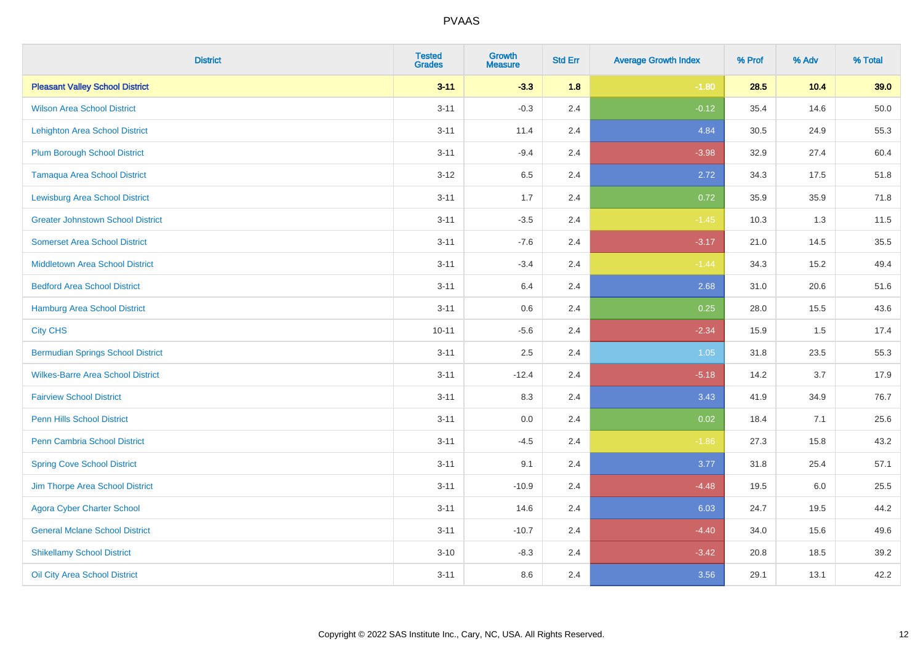| <b>District</b>                          | <b>Tested</b><br><b>Grades</b> | <b>Growth</b><br><b>Measure</b> | <b>Std Err</b> | <b>Average Growth Index</b> | % Prof | % Adv | % Total |
|------------------------------------------|--------------------------------|---------------------------------|----------------|-----------------------------|--------|-------|---------|
| <b>Pleasant Valley School District</b>   | $3 - 11$                       | $-3.3$                          | 1.8            | $-1.80$                     | 28.5   | 10.4  | 39.0    |
| <b>Wilson Area School District</b>       | $3 - 11$                       | $-0.3$                          | 2.4            | $-0.12$                     | 35.4   | 14.6  | 50.0    |
| <b>Lehighton Area School District</b>    | $3 - 11$                       | 11.4                            | 2.4            | 4.84                        | 30.5   | 24.9  | 55.3    |
| <b>Plum Borough School District</b>      | $3 - 11$                       | $-9.4$                          | 2.4            | $-3.98$                     | 32.9   | 27.4  | 60.4    |
| <b>Tamaqua Area School District</b>      | $3-12$                         | 6.5                             | 2.4            | 2.72                        | 34.3   | 17.5  | 51.8    |
| <b>Lewisburg Area School District</b>    | $3 - 11$                       | 1.7                             | 2.4            | 0.72                        | 35.9   | 35.9  | 71.8    |
| <b>Greater Johnstown School District</b> | $3 - 11$                       | $-3.5$                          | 2.4            | $-1.45$                     | 10.3   | 1.3   | 11.5    |
| <b>Somerset Area School District</b>     | $3 - 11$                       | $-7.6$                          | 2.4            | $-3.17$                     | 21.0   | 14.5  | 35.5    |
| <b>Middletown Area School District</b>   | $3 - 11$                       | $-3.4$                          | 2.4            | $-1.44$                     | 34.3   | 15.2  | 49.4    |
| <b>Bedford Area School District</b>      | $3 - 11$                       | 6.4                             | 2.4            | 2.68                        | 31.0   | 20.6  | 51.6    |
| Hamburg Area School District             | $3 - 11$                       | 0.6                             | 2.4            | 0.25                        | 28.0   | 15.5  | 43.6    |
| <b>City CHS</b>                          | $10 - 11$                      | $-5.6$                          | 2.4            | $-2.34$                     | 15.9   | 1.5   | 17.4    |
| <b>Bermudian Springs School District</b> | $3 - 11$                       | 2.5                             | 2.4            | 1.05                        | 31.8   | 23.5  | 55.3    |
| <b>Wilkes-Barre Area School District</b> | $3 - 11$                       | $-12.4$                         | 2.4            | $-5.18$                     | 14.2   | 3.7   | 17.9    |
| <b>Fairview School District</b>          | $3 - 11$                       | 8.3                             | 2.4            | 3.43                        | 41.9   | 34.9  | 76.7    |
| Penn Hills School District               | $3 - 11$                       | 0.0                             | 2.4            | 0.02                        | 18.4   | 7.1   | 25.6    |
| <b>Penn Cambria School District</b>      | $3 - 11$                       | $-4.5$                          | 2.4            | $-1.86$                     | 27.3   | 15.8  | 43.2    |
| <b>Spring Cove School District</b>       | $3 - 11$                       | 9.1                             | 2.4            | 3.77                        | 31.8   | 25.4  | 57.1    |
| Jim Thorpe Area School District          | $3 - 11$                       | $-10.9$                         | 2.4            | $-4.48$                     | 19.5   | 6.0   | 25.5    |
| <b>Agora Cyber Charter School</b>        | $3 - 11$                       | 14.6                            | 2.4            | 6.03                        | 24.7   | 19.5  | 44.2    |
| <b>General Mclane School District</b>    | $3 - 11$                       | $-10.7$                         | 2.4            | $-4.40$                     | 34.0   | 15.6  | 49.6    |
| <b>Shikellamy School District</b>        | $3 - 10$                       | $-8.3$                          | 2.4            | $-3.42$                     | 20.8   | 18.5  | 39.2    |
| Oil City Area School District            | $3 - 11$                       | 8.6                             | 2.4            | 3.56                        | 29.1   | 13.1  | 42.2    |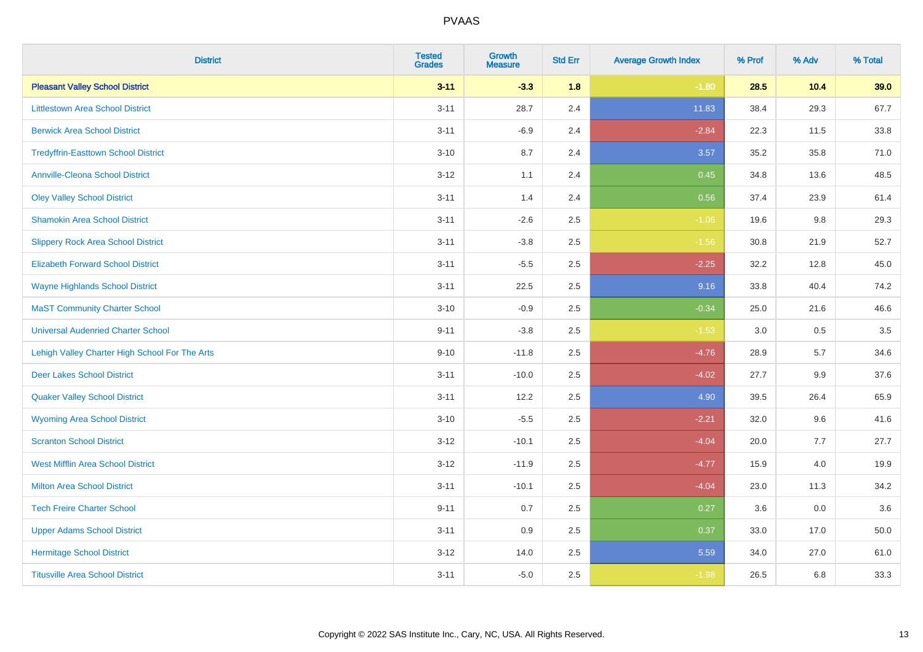| <b>District</b>                                | <b>Tested</b><br><b>Grades</b> | <b>Growth</b><br><b>Measure</b> | <b>Std Err</b> | <b>Average Growth Index</b> | % Prof | % Adv | % Total |
|------------------------------------------------|--------------------------------|---------------------------------|----------------|-----------------------------|--------|-------|---------|
| <b>Pleasant Valley School District</b>         | $3 - 11$                       | $-3.3$                          | 1.8            | $-1.80$                     | 28.5   | 10.4  | 39.0    |
| <b>Littlestown Area School District</b>        | $3 - 11$                       | 28.7                            | 2.4            | 11.83                       | 38.4   | 29.3  | 67.7    |
| <b>Berwick Area School District</b>            | $3 - 11$                       | $-6.9$                          | 2.4            | $-2.84$                     | 22.3   | 11.5  | 33.8    |
| <b>Tredyffrin-Easttown School District</b>     | $3 - 10$                       | 8.7                             | 2.4            | 3.57                        | 35.2   | 35.8  | 71.0    |
| <b>Annville-Cleona School District</b>         | $3 - 12$                       | 1.1                             | 2.4            | 0.45                        | 34.8   | 13.6  | 48.5    |
| <b>Oley Valley School District</b>             | $3 - 11$                       | 1.4                             | 2.4            | 0.56                        | 37.4   | 23.9  | 61.4    |
| <b>Shamokin Area School District</b>           | $3 - 11$                       | $-2.6$                          | 2.5            | $-1.06$                     | 19.6   | 9.8   | 29.3    |
| <b>Slippery Rock Area School District</b>      | $3 - 11$                       | $-3.8$                          | 2.5            | $-1.56$                     | 30.8   | 21.9  | 52.7    |
| <b>Elizabeth Forward School District</b>       | $3 - 11$                       | $-5.5$                          | 2.5            | $-2.25$                     | 32.2   | 12.8  | 45.0    |
| <b>Wayne Highlands School District</b>         | $3 - 11$                       | 22.5                            | 2.5            | 9.16                        | 33.8   | 40.4  | 74.2    |
| <b>MaST Community Charter School</b>           | $3 - 10$                       | $-0.9$                          | 2.5            | $-0.34$                     | 25.0   | 21.6  | 46.6    |
| <b>Universal Audenried Charter School</b>      | $9 - 11$                       | $-3.8$                          | 2.5            | $-1.53$                     | 3.0    | 0.5   | 3.5     |
| Lehigh Valley Charter High School For The Arts | $9 - 10$                       | $-11.8$                         | 2.5            | $-4.76$                     | 28.9   | 5.7   | 34.6    |
| <b>Deer Lakes School District</b>              | $3 - 11$                       | $-10.0$                         | 2.5            | $-4.02$                     | 27.7   | 9.9   | 37.6    |
| <b>Quaker Valley School District</b>           | $3 - 11$                       | 12.2                            | 2.5            | 4.90                        | 39.5   | 26.4  | 65.9    |
| <b>Wyoming Area School District</b>            | $3 - 10$                       | $-5.5$                          | 2.5            | $-2.21$                     | 32.0   | 9.6   | 41.6    |
| <b>Scranton School District</b>                | $3 - 12$                       | $-10.1$                         | 2.5            | $-4.04$                     | 20.0   | 7.7   | 27.7    |
| <b>West Mifflin Area School District</b>       | $3-12$                         | $-11.9$                         | 2.5            | $-4.77$                     | 15.9   | 4.0   | 19.9    |
| <b>Milton Area School District</b>             | $3 - 11$                       | $-10.1$                         | 2.5            | $-4.04$                     | 23.0   | 11.3  | 34.2    |
| <b>Tech Freire Charter School</b>              | $9 - 11$                       | 0.7                             | 2.5            | 0.27                        | 3.6    | 0.0   | 3.6     |
| <b>Upper Adams School District</b>             | $3 - 11$                       | 0.9                             | 2.5            | 0.37                        | 33.0   | 17.0  | 50.0    |
| <b>Hermitage School District</b>               | $3-12$                         | 14.0                            | 2.5            | 5.59                        | 34.0   | 27.0  | 61.0    |
| <b>Titusville Area School District</b>         | $3 - 11$                       | $-5.0$                          | 2.5            | $-1.98$                     | 26.5   | 6.8   | 33.3    |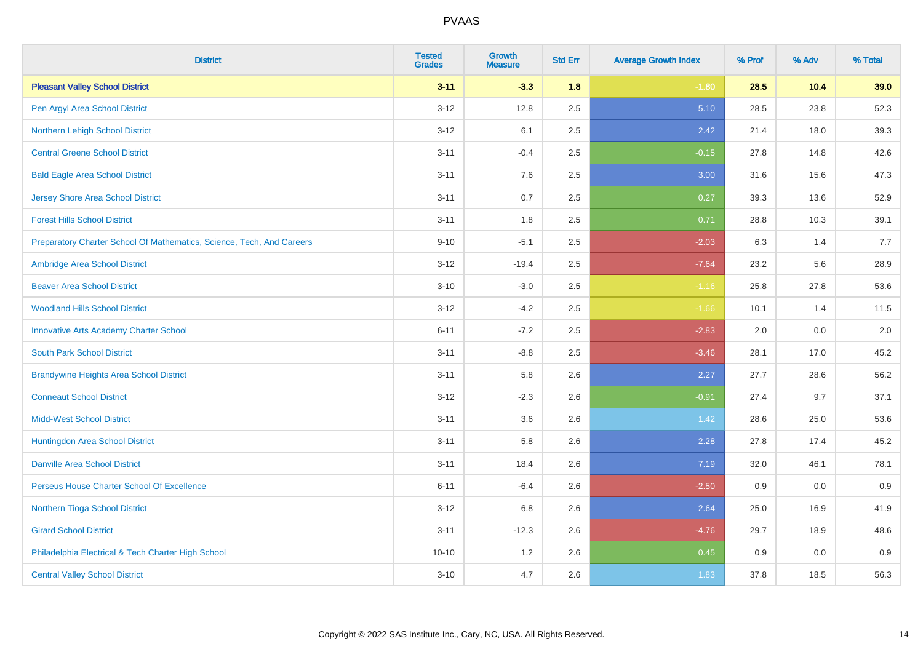| <b>District</b>                                                       | <b>Tested</b><br><b>Grades</b> | <b>Growth</b><br><b>Measure</b> | <b>Std Err</b> | <b>Average Growth Index</b> | % Prof | % Adv | % Total |
|-----------------------------------------------------------------------|--------------------------------|---------------------------------|----------------|-----------------------------|--------|-------|---------|
| <b>Pleasant Valley School District</b>                                | $3 - 11$                       | $-3.3$                          | 1.8            | $-1.80$                     | 28.5   | 10.4  | 39.0    |
| Pen Argyl Area School District                                        | $3 - 12$                       | 12.8                            | 2.5            | 5.10                        | 28.5   | 23.8  | 52.3    |
| Northern Lehigh School District                                       | $3 - 12$                       | 6.1                             | 2.5            | 2.42                        | 21.4   | 18.0  | 39.3    |
| <b>Central Greene School District</b>                                 | $3 - 11$                       | $-0.4$                          | 2.5            | $-0.15$                     | 27.8   | 14.8  | 42.6    |
| <b>Bald Eagle Area School District</b>                                | $3 - 11$                       | 7.6                             | 2.5            | 3.00                        | 31.6   | 15.6  | 47.3    |
| <b>Jersey Shore Area School District</b>                              | $3 - 11$                       | 0.7                             | 2.5            | 0.27                        | 39.3   | 13.6  | 52.9    |
| <b>Forest Hills School District</b>                                   | $3 - 11$                       | 1.8                             | 2.5            | 0.71                        | 28.8   | 10.3  | 39.1    |
| Preparatory Charter School Of Mathematics, Science, Tech, And Careers | $9 - 10$                       | $-5.1$                          | 2.5            | $-2.03$                     | 6.3    | 1.4   | 7.7     |
| Ambridge Area School District                                         | $3 - 12$                       | $-19.4$                         | 2.5            | $-7.64$                     | 23.2   | 5.6   | 28.9    |
| <b>Beaver Area School District</b>                                    | $3 - 10$                       | $-3.0$                          | 2.5            | $-1.16$                     | 25.8   | 27.8  | 53.6    |
| <b>Woodland Hills School District</b>                                 | $3 - 12$                       | $-4.2$                          | 2.5            | $-1.66$                     | 10.1   | 1.4   | 11.5    |
| <b>Innovative Arts Academy Charter School</b>                         | $6 - 11$                       | $-7.2$                          | 2.5            | $-2.83$                     | 2.0    | 0.0   | 2.0     |
| <b>South Park School District</b>                                     | $3 - 11$                       | $-8.8$                          | 2.5            | $-3.46$                     | 28.1   | 17.0  | 45.2    |
| <b>Brandywine Heights Area School District</b>                        | $3 - 11$                       | 5.8                             | 2.6            | 2.27                        | 27.7   | 28.6  | 56.2    |
| <b>Conneaut School District</b>                                       | $3 - 12$                       | $-2.3$                          | 2.6            | $-0.91$                     | 27.4   | 9.7   | 37.1    |
| <b>Midd-West School District</b>                                      | $3 - 11$                       | 3.6                             | 2.6            | 1.42                        | 28.6   | 25.0  | 53.6    |
| Huntingdon Area School District                                       | $3 - 11$                       | 5.8                             | 2.6            | 2.28                        | 27.8   | 17.4  | 45.2    |
| <b>Danville Area School District</b>                                  | $3 - 11$                       | 18.4                            | 2.6            | 7.19                        | 32.0   | 46.1  | 78.1    |
| Perseus House Charter School Of Excellence                            | $6 - 11$                       | $-6.4$                          | 2.6            | $-2.50$                     | 0.9    | 0.0   | 0.9     |
| Northern Tioga School District                                        | $3 - 12$                       | 6.8                             | 2.6            | 2.64                        | 25.0   | 16.9  | 41.9    |
| <b>Girard School District</b>                                         | $3 - 11$                       | $-12.3$                         | 2.6            | $-4.76$                     | 29.7   | 18.9  | 48.6    |
| Philadelphia Electrical & Tech Charter High School                    | $10 - 10$                      | 1.2                             | 2.6            | 0.45                        | 0.9    | 0.0   | 0.9     |
| <b>Central Valley School District</b>                                 | $3 - 10$                       | 4.7                             | 2.6            | 1.83                        | 37.8   | 18.5  | 56.3    |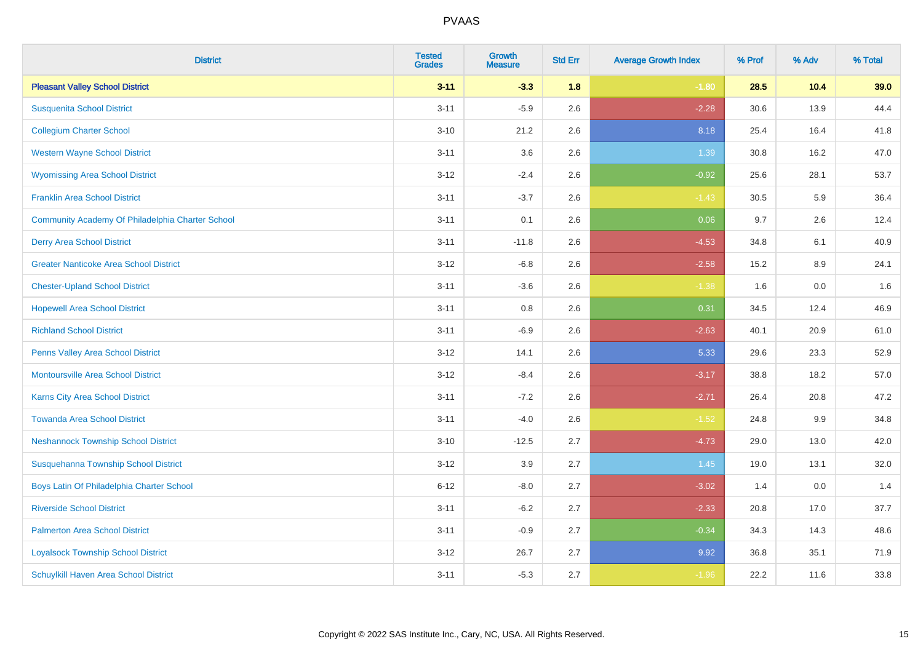| <b>District</b>                                  | <b>Tested</b><br><b>Grades</b> | <b>Growth</b><br><b>Measure</b> | <b>Std Err</b> | <b>Average Growth Index</b> | % Prof | % Adv | % Total |
|--------------------------------------------------|--------------------------------|---------------------------------|----------------|-----------------------------|--------|-------|---------|
| <b>Pleasant Valley School District</b>           | $3 - 11$                       | $-3.3$                          | 1.8            | $-1.80$                     | 28.5   | 10.4  | 39.0    |
| <b>Susquenita School District</b>                | $3 - 11$                       | $-5.9$                          | 2.6            | $-2.28$                     | 30.6   | 13.9  | 44.4    |
| <b>Collegium Charter School</b>                  | $3 - 10$                       | 21.2                            | 2.6            | 8.18                        | 25.4   | 16.4  | 41.8    |
| <b>Western Wayne School District</b>             | $3 - 11$                       | 3.6                             | 2.6            | 1.39                        | 30.8   | 16.2  | 47.0    |
| <b>Wyomissing Area School District</b>           | $3 - 12$                       | $-2.4$                          | 2.6            | $-0.92$                     | 25.6   | 28.1  | 53.7    |
| <b>Franklin Area School District</b>             | $3 - 11$                       | $-3.7$                          | 2.6            | $-1.43$                     | 30.5   | 5.9   | 36.4    |
| Community Academy Of Philadelphia Charter School | $3 - 11$                       | 0.1                             | 2.6            | 0.06                        | 9.7    | 2.6   | 12.4    |
| <b>Derry Area School District</b>                | $3 - 11$                       | $-11.8$                         | 2.6            | $-4.53$                     | 34.8   | 6.1   | 40.9    |
| <b>Greater Nanticoke Area School District</b>    | $3 - 12$                       | $-6.8$                          | 2.6            | $-2.58$                     | 15.2   | 8.9   | 24.1    |
| <b>Chester-Upland School District</b>            | $3 - 11$                       | $-3.6$                          | 2.6            | $-1.38$                     | 1.6    | 0.0   | 1.6     |
| <b>Hopewell Area School District</b>             | $3 - 11$                       | 0.8                             | 2.6            | 0.31                        | 34.5   | 12.4  | 46.9    |
| <b>Richland School District</b>                  | $3 - 11$                       | $-6.9$                          | 2.6            | $-2.63$                     | 40.1   | 20.9  | 61.0    |
| Penns Valley Area School District                | $3 - 12$                       | 14.1                            | 2.6            | 5.33                        | 29.6   | 23.3  | 52.9    |
| <b>Montoursville Area School District</b>        | $3 - 12$                       | $-8.4$                          | 2.6            | $-3.17$                     | 38.8   | 18.2  | 57.0    |
| Karns City Area School District                  | $3 - 11$                       | $-7.2$                          | 2.6            | $-2.71$                     | 26.4   | 20.8  | 47.2    |
| <b>Towanda Area School District</b>              | $3 - 11$                       | $-4.0$                          | 2.6            | $-1.52$                     | 24.8   | 9.9   | 34.8    |
| <b>Neshannock Township School District</b>       | $3 - 10$                       | $-12.5$                         | 2.7            | $-4.73$                     | 29.0   | 13.0  | 42.0    |
| Susquehanna Township School District             | $3 - 12$                       | 3.9                             | 2.7            | 1.45                        | 19.0   | 13.1  | 32.0    |
| Boys Latin Of Philadelphia Charter School        | $6 - 12$                       | $-8.0$                          | 2.7            | $-3.02$                     | 1.4    | 0.0   | 1.4     |
| <b>Riverside School District</b>                 | $3 - 11$                       | $-6.2$                          | 2.7            | $-2.33$                     | 20.8   | 17.0  | 37.7    |
| <b>Palmerton Area School District</b>            | $3 - 11$                       | $-0.9$                          | 2.7            | $-0.34$                     | 34.3   | 14.3  | 48.6    |
| <b>Loyalsock Township School District</b>        | $3 - 12$                       | 26.7                            | 2.7            | 9.92                        | 36.8   | 35.1  | 71.9    |
| <b>Schuylkill Haven Area School District</b>     | $3 - 11$                       | $-5.3$                          | 2.7            | $-1.96$                     | 22.2   | 11.6  | 33.8    |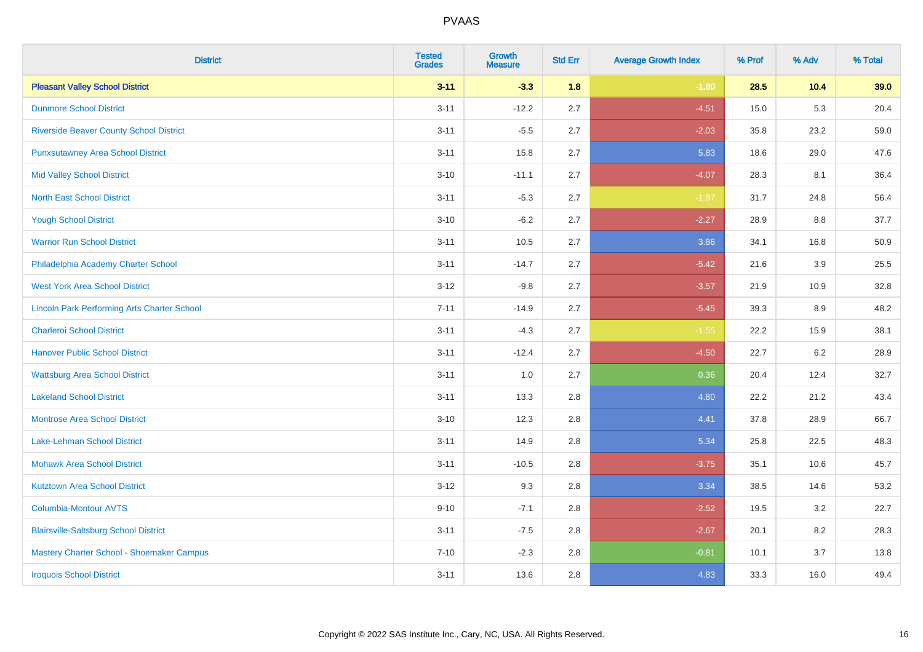| <b>District</b>                                    | <b>Tested</b><br><b>Grades</b> | <b>Growth</b><br><b>Measure</b> | <b>Std Err</b> | <b>Average Growth Index</b> | % Prof | % Adv   | % Total |
|----------------------------------------------------|--------------------------------|---------------------------------|----------------|-----------------------------|--------|---------|---------|
| <b>Pleasant Valley School District</b>             | $3 - 11$                       | $-3.3$                          | 1.8            | $-1.80$                     | 28.5   | 10.4    | 39.0    |
| <b>Dunmore School District</b>                     | $3 - 11$                       | $-12.2$                         | 2.7            | $-4.51$                     | 15.0   | 5.3     | 20.4    |
| <b>Riverside Beaver County School District</b>     | $3 - 11$                       | $-5.5$                          | 2.7            | $-2.03$                     | 35.8   | 23.2    | 59.0    |
| <b>Punxsutawney Area School District</b>           | $3 - 11$                       | 15.8                            | 2.7            | 5.83                        | 18.6   | 29.0    | 47.6    |
| <b>Mid Valley School District</b>                  | $3 - 10$                       | $-11.1$                         | 2.7            | $-4.07$                     | 28.3   | 8.1     | 36.4    |
| <b>North East School District</b>                  | $3 - 11$                       | $-5.3$                          | 2.7            | $-1.97$                     | 31.7   | 24.8    | 56.4    |
| <b>Yough School District</b>                       | $3 - 10$                       | $-6.2$                          | 2.7            | $-2.27$                     | 28.9   | 8.8     | 37.7    |
| <b>Warrior Run School District</b>                 | $3 - 11$                       | 10.5                            | 2.7            | 3.86                        | 34.1   | 16.8    | 50.9    |
| Philadelphia Academy Charter School                | $3 - 11$                       | $-14.7$                         | 2.7            | $-5.42$                     | 21.6   | 3.9     | 25.5    |
| <b>West York Area School District</b>              | $3 - 12$                       | $-9.8$                          | 2.7            | $-3.57$                     | 21.9   | 10.9    | 32.8    |
| <b>Lincoln Park Performing Arts Charter School</b> | $7 - 11$                       | $-14.9$                         | 2.7            | $-5.45$                     | 39.3   | 8.9     | 48.2    |
| <b>Charleroi School District</b>                   | $3 - 11$                       | $-4.3$                          | 2.7            | $-1.55$                     | 22.2   | 15.9    | 38.1    |
| <b>Hanover Public School District</b>              | $3 - 11$                       | $-12.4$                         | 2.7            | $-4.50$                     | 22.7   | $6.2\,$ | 28.9    |
| <b>Wattsburg Area School District</b>              | $3 - 11$                       | 1.0                             | 2.7            | 0.36                        | 20.4   | 12.4    | 32.7    |
| <b>Lakeland School District</b>                    | $3 - 11$                       | 13.3                            | 2.8            | 4.80                        | 22.2   | 21.2    | 43.4    |
| <b>Montrose Area School District</b>               | $3 - 10$                       | 12.3                            | 2.8            | 4.41                        | 37.8   | 28.9    | 66.7    |
| Lake-Lehman School District                        | $3 - 11$                       | 14.9                            | 2.8            | 5.34                        | 25.8   | 22.5    | 48.3    |
| <b>Mohawk Area School District</b>                 | $3 - 11$                       | $-10.5$                         | 2.8            | $-3.75$                     | 35.1   | 10.6    | 45.7    |
| <b>Kutztown Area School District</b>               | $3 - 12$                       | 9.3                             | 2.8            | 3.34                        | 38.5   | 14.6    | 53.2    |
| Columbia-Montour AVTS                              | $9 - 10$                       | $-7.1$                          | 2.8            | $-2.52$                     | 19.5   | 3.2     | 22.7    |
| <b>Blairsville-Saltsburg School District</b>       | $3 - 11$                       | $-7.5$                          | 2.8            | $-2.67$                     | 20.1   | 8.2     | 28.3    |
| Mastery Charter School - Shoemaker Campus          | $7 - 10$                       | $-2.3$                          | 2.8            | $-0.81$                     | 10.1   | 3.7     | 13.8    |
| <b>Iroquois School District</b>                    | $3 - 11$                       | 13.6                            | 2.8            | 4.83                        | 33.3   | 16.0    | 49.4    |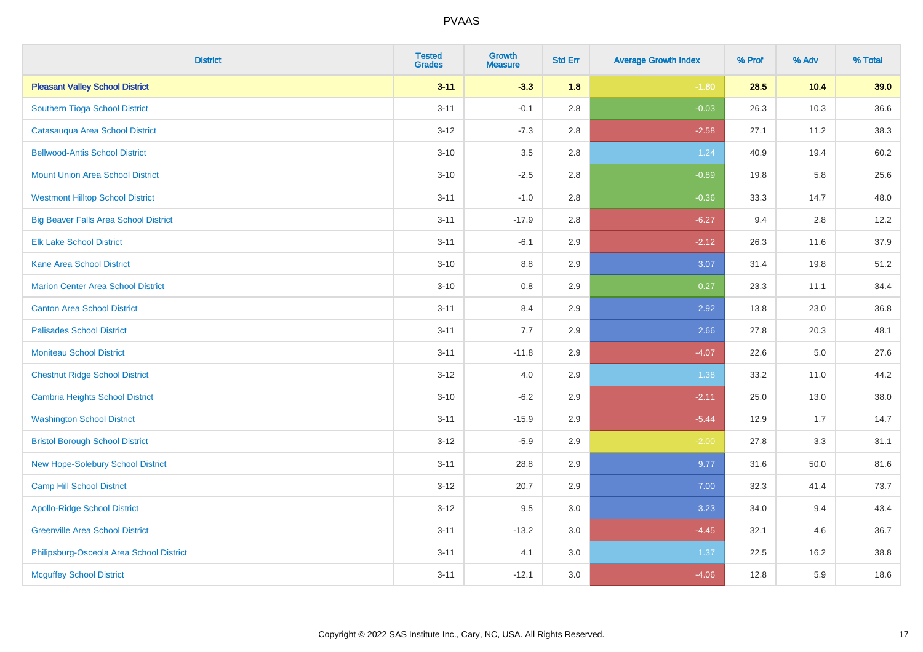| <b>District</b>                              | <b>Tested</b><br><b>Grades</b> | <b>Growth</b><br><b>Measure</b> | <b>Std Err</b> | <b>Average Growth Index</b> | % Prof | % Adv   | % Total |
|----------------------------------------------|--------------------------------|---------------------------------|----------------|-----------------------------|--------|---------|---------|
| <b>Pleasant Valley School District</b>       | $3 - 11$                       | $-3.3$                          | 1.8            | $-1.80$                     | 28.5   | 10.4    | 39.0    |
| Southern Tioga School District               | $3 - 11$                       | $-0.1$                          | 2.8            | $-0.03$                     | 26.3   | 10.3    | 36.6    |
| Catasauqua Area School District              | $3 - 12$                       | $-7.3$                          | 2.8            | $-2.58$                     | 27.1   | 11.2    | 38.3    |
| <b>Bellwood-Antis School District</b>        | $3 - 10$                       | 3.5                             | 2.8            | 1.24                        | 40.9   | 19.4    | 60.2    |
| <b>Mount Union Area School District</b>      | $3 - 10$                       | $-2.5$                          | 2.8            | $-0.89$                     | 19.8   | 5.8     | 25.6    |
| <b>Westmont Hilltop School District</b>      | $3 - 11$                       | $-1.0$                          | 2.8            | $-0.36$                     | 33.3   | 14.7    | 48.0    |
| <b>Big Beaver Falls Area School District</b> | $3 - 11$                       | $-17.9$                         | 2.8            | $-6.27$                     | 9.4    | 2.8     | 12.2    |
| <b>Elk Lake School District</b>              | $3 - 11$                       | $-6.1$                          | 2.9            | $-2.12$                     | 26.3   | 11.6    | 37.9    |
| <b>Kane Area School District</b>             | $3 - 10$                       | 8.8                             | 2.9            | 3.07                        | 31.4   | 19.8    | 51.2    |
| <b>Marion Center Area School District</b>    | $3 - 10$                       | 0.8                             | 2.9            | 0.27                        | 23.3   | 11.1    | 34.4    |
| <b>Canton Area School District</b>           | $3 - 11$                       | 8.4                             | 2.9            | 2.92                        | 13.8   | 23.0    | 36.8    |
| <b>Palisades School District</b>             | $3 - 11$                       | 7.7                             | 2.9            | 2.66                        | 27.8   | 20.3    | 48.1    |
| <b>Moniteau School District</b>              | $3 - 11$                       | $-11.8$                         | 2.9            | $-4.07$                     | 22.6   | $5.0\,$ | 27.6    |
| <b>Chestnut Ridge School District</b>        | $3 - 12$                       | $4.0\,$                         | 2.9            | 1.38                        | 33.2   | 11.0    | 44.2    |
| <b>Cambria Heights School District</b>       | $3 - 10$                       | $-6.2$                          | 2.9            | $-2.11$                     | 25.0   | 13.0    | 38.0    |
| <b>Washington School District</b>            | $3 - 11$                       | $-15.9$                         | 2.9            | $-5.44$                     | 12.9   | 1.7     | 14.7    |
| <b>Bristol Borough School District</b>       | $3 - 12$                       | $-5.9$                          | 2.9            | $-2.00$                     | 27.8   | 3.3     | 31.1    |
| New Hope-Solebury School District            | $3 - 11$                       | 28.8                            | 2.9            | 9.77                        | 31.6   | 50.0    | 81.6    |
| Camp Hill School District                    | $3 - 12$                       | 20.7                            | 2.9            | 7.00                        | 32.3   | 41.4    | 73.7    |
| <b>Apollo-Ridge School District</b>          | $3 - 12$                       | 9.5                             | 3.0            | 3.23                        | 34.0   | 9.4     | 43.4    |
| <b>Greenville Area School District</b>       | $3 - 11$                       | $-13.2$                         | 3.0            | $-4.45$                     | 32.1   | 4.6     | 36.7    |
| Philipsburg-Osceola Area School District     | $3 - 11$                       | 4.1                             | 3.0            | 1.37                        | 22.5   | 16.2    | 38.8    |
| <b>Mcguffey School District</b>              | $3 - 11$                       | $-12.1$                         | 3.0            | $-4.06$                     | 12.8   | 5.9     | 18.6    |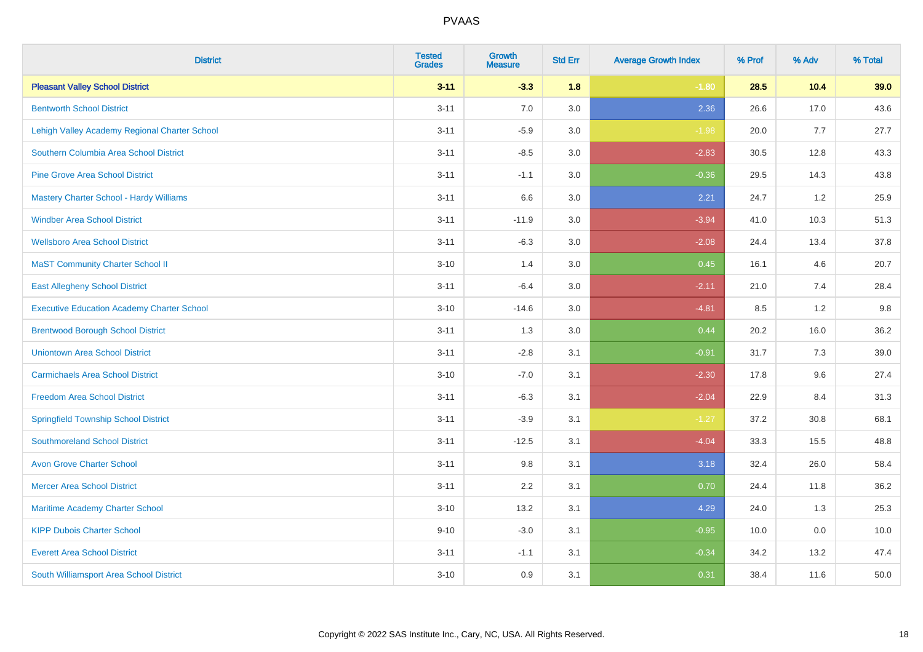| <b>District</b>                                   | <b>Tested</b><br><b>Grades</b> | <b>Growth</b><br><b>Measure</b> | <b>Std Err</b> | <b>Average Growth Index</b> | % Prof | % Adv | % Total |
|---------------------------------------------------|--------------------------------|---------------------------------|----------------|-----------------------------|--------|-------|---------|
| <b>Pleasant Valley School District</b>            | $3 - 11$                       | $-3.3$                          | 1.8            | $-1.80$                     | 28.5   | 10.4  | 39.0    |
| <b>Bentworth School District</b>                  | $3 - 11$                       | 7.0                             | $3.0\,$        | 2.36                        | 26.6   | 17.0  | 43.6    |
| Lehigh Valley Academy Regional Charter School     | $3 - 11$                       | $-5.9$                          | 3.0            | $-1.98$                     | 20.0   | 7.7   | 27.7    |
| Southern Columbia Area School District            | $3 - 11$                       | $-8.5$                          | 3.0            | $-2.83$                     | 30.5   | 12.8  | 43.3    |
| <b>Pine Grove Area School District</b>            | $3 - 11$                       | $-1.1$                          | 3.0            | $-0.36$                     | 29.5   | 14.3  | 43.8    |
| <b>Mastery Charter School - Hardy Williams</b>    | $3 - 11$                       | 6.6                             | 3.0            | 2.21                        | 24.7   | 1.2   | 25.9    |
| <b>Windber Area School District</b>               | $3 - 11$                       | $-11.9$                         | 3.0            | $-3.94$                     | 41.0   | 10.3  | 51.3    |
| <b>Wellsboro Area School District</b>             | $3 - 11$                       | $-6.3$                          | 3.0            | $-2.08$                     | 24.4   | 13.4  | 37.8    |
| <b>MaST Community Charter School II</b>           | $3 - 10$                       | 1.4                             | 3.0            | 0.45                        | 16.1   | 4.6   | 20.7    |
| <b>East Allegheny School District</b>             | $3 - 11$                       | $-6.4$                          | 3.0            | $-2.11$                     | 21.0   | 7.4   | 28.4    |
| <b>Executive Education Academy Charter School</b> | $3 - 10$                       | $-14.6$                         | 3.0            | $-4.81$                     | 8.5    | 1.2   | 9.8     |
| <b>Brentwood Borough School District</b>          | $3 - 11$                       | 1.3                             | 3.0            | 0.44                        | 20.2   | 16.0  | 36.2    |
| <b>Uniontown Area School District</b>             | $3 - 11$                       | $-2.8$                          | 3.1            | $-0.91$                     | 31.7   | 7.3   | 39.0    |
| <b>Carmichaels Area School District</b>           | $3 - 10$                       | $-7.0$                          | 3.1            | $-2.30$                     | 17.8   | 9.6   | 27.4    |
| <b>Freedom Area School District</b>               | $3 - 11$                       | $-6.3$                          | 3.1            | $-2.04$                     | 22.9   | 8.4   | 31.3    |
| <b>Springfield Township School District</b>       | $3 - 11$                       | $-3.9$                          | 3.1            | $-1.27$                     | 37.2   | 30.8  | 68.1    |
| <b>Southmoreland School District</b>              | $3 - 11$                       | $-12.5$                         | 3.1            | $-4.04$                     | 33.3   | 15.5  | 48.8    |
| <b>Avon Grove Charter School</b>                  | $3 - 11$                       | 9.8                             | 3.1            | 3.18                        | 32.4   | 26.0  | 58.4    |
| <b>Mercer Area School District</b>                | $3 - 11$                       | 2.2                             | 3.1            | 0.70                        | 24.4   | 11.8  | 36.2    |
| Maritime Academy Charter School                   | $3 - 10$                       | 13.2                            | 3.1            | 4.29                        | 24.0   | 1.3   | 25.3    |
| <b>KIPP Dubois Charter School</b>                 | $9 - 10$                       | $-3.0$                          | 3.1            | $-0.95$                     | 10.0   | 0.0   | 10.0    |
| <b>Everett Area School District</b>               | $3 - 11$                       | $-1.1$                          | 3.1            | $-0.34$                     | 34.2   | 13.2  | 47.4    |
| South Williamsport Area School District           | $3 - 10$                       | 0.9                             | 3.1            | 0.31                        | 38.4   | 11.6  | 50.0    |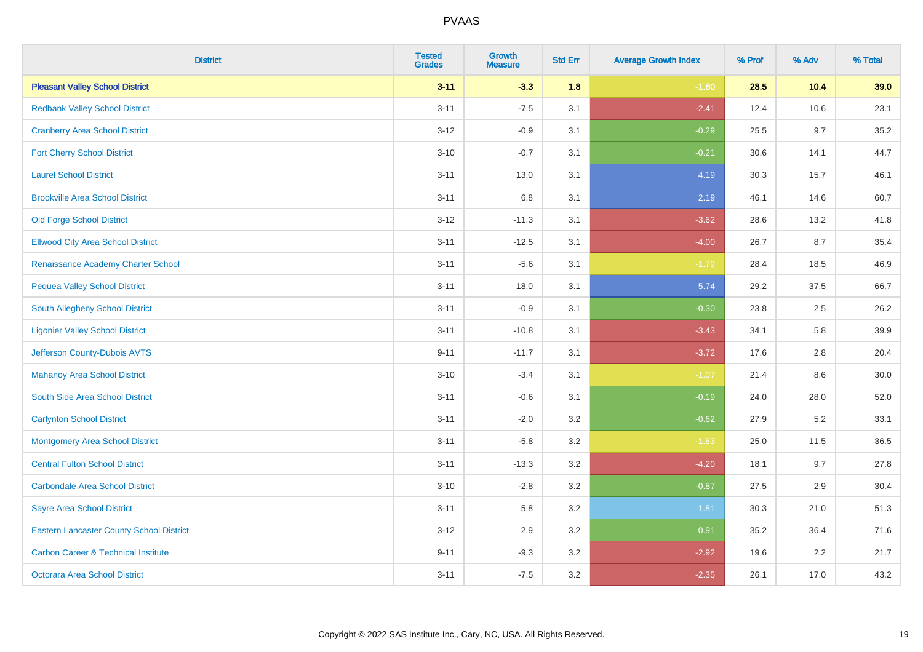| <b>District</b>                                 | <b>Tested</b><br><b>Grades</b> | Growth<br><b>Measure</b> | <b>Std Err</b> | <b>Average Growth Index</b> | % Prof | % Adv   | % Total |
|-------------------------------------------------|--------------------------------|--------------------------|----------------|-----------------------------|--------|---------|---------|
| <b>Pleasant Valley School District</b>          | $3 - 11$                       | $-3.3$                   | 1.8            | $-1.80$                     | 28.5   | 10.4    | 39.0    |
| <b>Redbank Valley School District</b>           | $3 - 11$                       | $-7.5$                   | 3.1            | $-2.41$                     | 12.4   | 10.6    | 23.1    |
| <b>Cranberry Area School District</b>           | $3 - 12$                       | $-0.9$                   | 3.1            | $-0.29$                     | 25.5   | 9.7     | 35.2    |
| <b>Fort Cherry School District</b>              | $3 - 10$                       | $-0.7$                   | 3.1            | $-0.21$                     | 30.6   | 14.1    | 44.7    |
| <b>Laurel School District</b>                   | $3 - 11$                       | 13.0                     | 3.1            | 4.19                        | 30.3   | 15.7    | 46.1    |
| <b>Brookville Area School District</b>          | $3 - 11$                       | $6.8\,$                  | 3.1            | 2.19                        | 46.1   | 14.6    | 60.7    |
| <b>Old Forge School District</b>                | $3-12$                         | $-11.3$                  | 3.1            | $-3.62$                     | 28.6   | 13.2    | 41.8    |
| <b>Ellwood City Area School District</b>        | $3 - 11$                       | $-12.5$                  | 3.1            | $-4.00$                     | 26.7   | 8.7     | 35.4    |
| Renaissance Academy Charter School              | $3 - 11$                       | $-5.6$                   | 3.1            | $-1.79$                     | 28.4   | 18.5    | 46.9    |
| <b>Pequea Valley School District</b>            | $3 - 11$                       | 18.0                     | 3.1            | 5.74                        | 29.2   | 37.5    | 66.7    |
| South Allegheny School District                 | $3 - 11$                       | $-0.9$                   | 3.1            | $-0.30$                     | 23.8   | 2.5     | 26.2    |
| <b>Ligonier Valley School District</b>          | $3 - 11$                       | $-10.8$                  | 3.1            | $-3.43$                     | 34.1   | 5.8     | 39.9    |
| Jefferson County-Dubois AVTS                    | $9 - 11$                       | $-11.7$                  | 3.1            | $-3.72$                     | 17.6   | 2.8     | 20.4    |
| <b>Mahanoy Area School District</b>             | $3 - 10$                       | $-3.4$                   | 3.1            | $-1.07$                     | 21.4   | 8.6     | 30.0    |
| South Side Area School District                 | $3 - 11$                       | $-0.6$                   | 3.1            | $-0.19$                     | 24.0   | 28.0    | 52.0    |
| <b>Carlynton School District</b>                | $3 - 11$                       | $-2.0$                   | 3.2            | $-0.62$                     | 27.9   | $5.2\,$ | 33.1    |
| <b>Montgomery Area School District</b>          | $3 - 11$                       | $-5.8$                   | 3.2            | $-1.83$                     | 25.0   | 11.5    | 36.5    |
| <b>Central Fulton School District</b>           | $3 - 11$                       | $-13.3$                  | 3.2            | $-4.20$                     | 18.1   | 9.7     | 27.8    |
| <b>Carbondale Area School District</b>          | $3 - 10$                       | $-2.8$                   | 3.2            | $-0.87$                     | 27.5   | 2.9     | 30.4    |
| <b>Sayre Area School District</b>               | $3 - 11$                       | 5.8                      | 3.2            | 1.81                        | 30.3   | 21.0    | 51.3    |
| <b>Eastern Lancaster County School District</b> | $3 - 12$                       | 2.9                      | 3.2            | 0.91                        | 35.2   | 36.4    | 71.6    |
| <b>Carbon Career &amp; Technical Institute</b>  | $9 - 11$                       | $-9.3$                   | 3.2            | $-2.92$                     | 19.6   | 2.2     | 21.7    |
| <b>Octorara Area School District</b>            | $3 - 11$                       | $-7.5$                   | 3.2            | $-2.35$                     | 26.1   | 17.0    | 43.2    |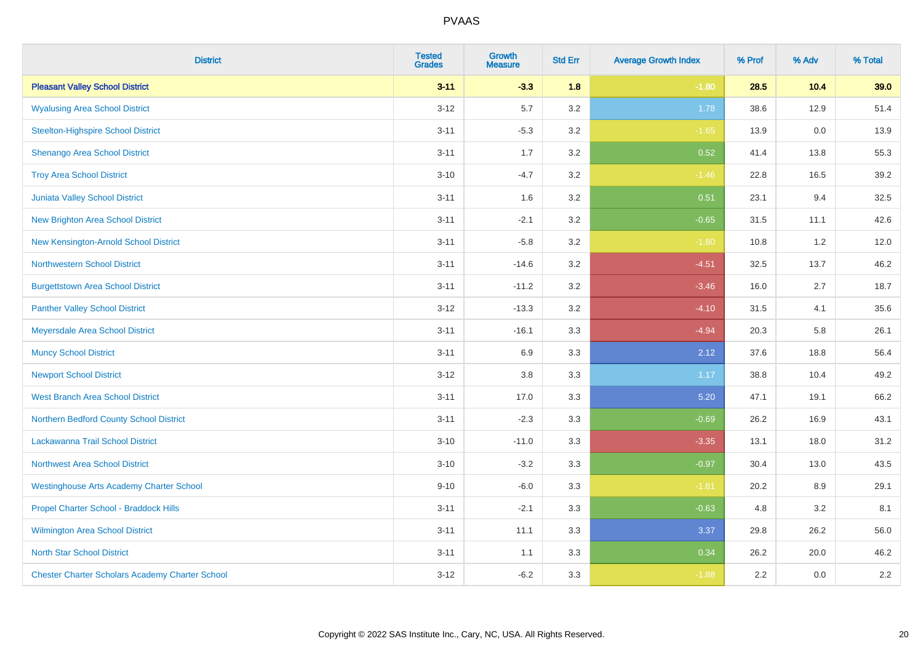| <b>District</b>                                        | <b>Tested</b><br><b>Grades</b> | <b>Growth</b><br><b>Measure</b> | <b>Std Err</b> | <b>Average Growth Index</b> | % Prof | % Adv | % Total |
|--------------------------------------------------------|--------------------------------|---------------------------------|----------------|-----------------------------|--------|-------|---------|
| <b>Pleasant Valley School District</b>                 | $3 - 11$                       | $-3.3$                          | 1.8            | $-1.80$                     | 28.5   | 10.4  | 39.0    |
| <b>Wyalusing Area School District</b>                  | $3 - 12$                       | 5.7                             | 3.2            | 1.78                        | 38.6   | 12.9  | 51.4    |
| <b>Steelton-Highspire School District</b>              | $3 - 11$                       | $-5.3$                          | 3.2            | $-1.65$                     | 13.9   | 0.0   | 13.9    |
| Shenango Area School District                          | $3 - 11$                       | 1.7                             | 3.2            | 0.52                        | 41.4   | 13.8  | 55.3    |
| <b>Troy Area School District</b>                       | $3 - 10$                       | $-4.7$                          | 3.2            | $-1.46$                     | 22.8   | 16.5  | 39.2    |
| Juniata Valley School District                         | $3 - 11$                       | 1.6                             | 3.2            | 0.51                        | 23.1   | 9.4   | 32.5    |
| <b>New Brighton Area School District</b>               | $3 - 11$                       | $-2.1$                          | 3.2            | $-0.65$                     | 31.5   | 11.1  | 42.6    |
| New Kensington-Arnold School District                  | $3 - 11$                       | $-5.8$                          | 3.2            | $-1.80$                     | 10.8   | 1.2   | 12.0    |
| Northwestern School District                           | $3 - 11$                       | $-14.6$                         | 3.2            | $-4.51$                     | 32.5   | 13.7  | 46.2    |
| <b>Burgettstown Area School District</b>               | $3 - 11$                       | $-11.2$                         | 3.2            | $-3.46$                     | 16.0   | 2.7   | 18.7    |
| <b>Panther Valley School District</b>                  | $3 - 12$                       | $-13.3$                         | 3.2            | $-4.10$                     | 31.5   | 4.1   | 35.6    |
| Meyersdale Area School District                        | $3 - 11$                       | $-16.1$                         | 3.3            | $-4.94$                     | 20.3   | 5.8   | 26.1    |
| <b>Muncy School District</b>                           | $3 - 11$                       | 6.9                             | 3.3            | 2.12                        | 37.6   | 18.8  | 56.4    |
| <b>Newport School District</b>                         | $3 - 12$                       | $3.8\,$                         | 3.3            | 1.17                        | 38.8   | 10.4  | 49.2    |
| West Branch Area School District                       | $3 - 11$                       | 17.0                            | 3.3            | 5.20                        | 47.1   | 19.1  | 66.2    |
| Northern Bedford County School District                | $3 - 11$                       | $-2.3$                          | 3.3            | $-0.69$                     | 26.2   | 16.9  | 43.1    |
| Lackawanna Trail School District                       | $3 - 10$                       | $-11.0$                         | 3.3            | $-3.35$                     | 13.1   | 18.0  | 31.2    |
| <b>Northwest Area School District</b>                  | $3 - 10$                       | $-3.2$                          | 3.3            | $-0.97$                     | 30.4   | 13.0  | 43.5    |
| <b>Westinghouse Arts Academy Charter School</b>        | $9 - 10$                       | $-6.0$                          | 3.3            | $-1.81$                     | 20.2   | 8.9   | 29.1    |
| Propel Charter School - Braddock Hills                 | $3 - 11$                       | $-2.1$                          | 3.3            | $-0.63$                     | 4.8    | 3.2   | 8.1     |
| Wilmington Area School District                        | $3 - 11$                       | 11.1                            | 3.3            | 3.37                        | 29.8   | 26.2  | 56.0    |
| <b>North Star School District</b>                      | $3 - 11$                       | 1.1                             | 3.3            | 0.34                        | 26.2   | 20.0  | 46.2    |
| <b>Chester Charter Scholars Academy Charter School</b> | $3 - 12$                       | $-6.2$                          | 3.3            | $-1.88$                     | 2.2    | 0.0   | 2.2     |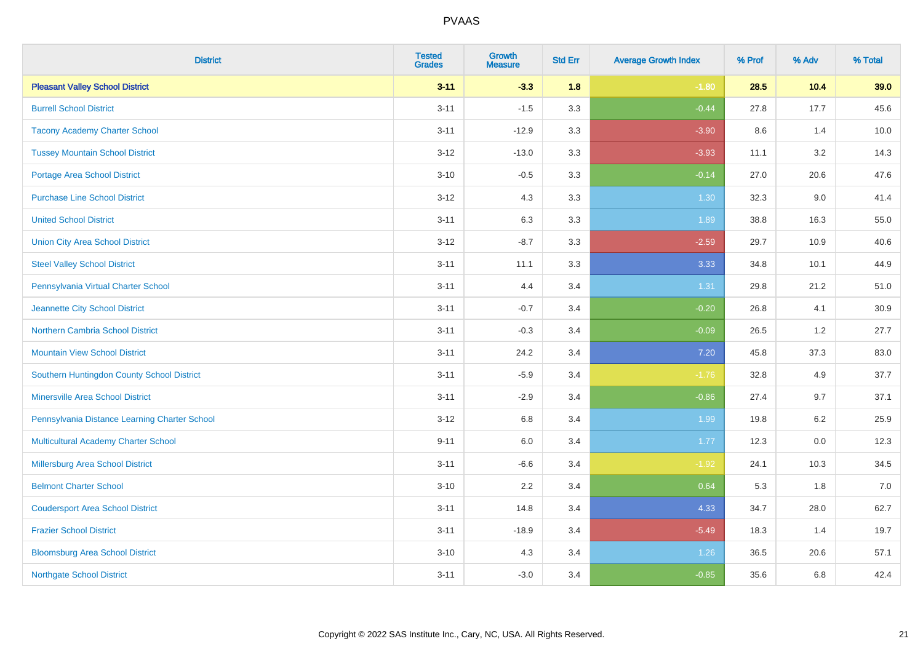| <b>District</b>                               | <b>Tested</b><br><b>Grades</b> | <b>Growth</b><br><b>Measure</b> | <b>Std Err</b> | <b>Average Growth Index</b> | % Prof | % Adv   | % Total |
|-----------------------------------------------|--------------------------------|---------------------------------|----------------|-----------------------------|--------|---------|---------|
| <b>Pleasant Valley School District</b>        | $3 - 11$                       | $-3.3$                          | 1.8            | $-1.80$                     | 28.5   | 10.4    | 39.0    |
| <b>Burrell School District</b>                | $3 - 11$                       | $-1.5$                          | 3.3            | $-0.44$                     | 27.8   | 17.7    | 45.6    |
| <b>Tacony Academy Charter School</b>          | $3 - 11$                       | $-12.9$                         | 3.3            | $-3.90$                     | 8.6    | 1.4     | 10.0    |
| <b>Tussey Mountain School District</b>        | $3 - 12$                       | $-13.0$                         | 3.3            | $-3.93$                     | 11.1   | 3.2     | 14.3    |
| Portage Area School District                  | $3 - 10$                       | $-0.5$                          | 3.3            | $-0.14$                     | 27.0   | 20.6    | 47.6    |
| <b>Purchase Line School District</b>          | $3 - 12$                       | 4.3                             | 3.3            | 1.30                        | 32.3   | 9.0     | 41.4    |
| <b>United School District</b>                 | $3 - 11$                       | 6.3                             | 3.3            | 1.89                        | 38.8   | 16.3    | 55.0    |
| <b>Union City Area School District</b>        | $3 - 12$                       | $-8.7$                          | 3.3            | $-2.59$                     | 29.7   | 10.9    | 40.6    |
| <b>Steel Valley School District</b>           | $3 - 11$                       | 11.1                            | 3.3            | 3.33                        | 34.8   | 10.1    | 44.9    |
| Pennsylvania Virtual Charter School           | $3 - 11$                       | 4.4                             | 3.4            | 1.31                        | 29.8   | 21.2    | 51.0    |
| Jeannette City School District                | $3 - 11$                       | $-0.7$                          | 3.4            | $-0.20$                     | 26.8   | 4.1     | 30.9    |
| Northern Cambria School District              | $3 - 11$                       | $-0.3$                          | 3.4            | $-0.09$                     | 26.5   | 1.2     | 27.7    |
| <b>Mountain View School District</b>          | $3 - 11$                       | 24.2                            | 3.4            | 7.20                        | 45.8   | 37.3    | 83.0    |
| Southern Huntingdon County School District    | $3 - 11$                       | $-5.9$                          | 3.4            | $-1.76$                     | 32.8   | 4.9     | 37.7    |
| <b>Minersville Area School District</b>       | $3 - 11$                       | $-2.9$                          | 3.4            | $-0.86$                     | 27.4   | 9.7     | 37.1    |
| Pennsylvania Distance Learning Charter School | $3 - 12$                       | 6.8                             | 3.4            | 1.99                        | 19.8   | 6.2     | 25.9    |
| <b>Multicultural Academy Charter School</b>   | $9 - 11$                       | 6.0                             | 3.4            | 1.77                        | 12.3   | $0.0\,$ | 12.3    |
| Millersburg Area School District              | $3 - 11$                       | $-6.6$                          | 3.4            | $-1.92$                     | 24.1   | 10.3    | 34.5    |
| <b>Belmont Charter School</b>                 | $3 - 10$                       | 2.2                             | 3.4            | 0.64                        | 5.3    | 1.8     | 7.0     |
| <b>Coudersport Area School District</b>       | $3 - 11$                       | 14.8                            | 3.4            | 4.33                        | 34.7   | 28.0    | 62.7    |
| <b>Frazier School District</b>                | $3 - 11$                       | $-18.9$                         | 3.4            | $-5.49$                     | 18.3   | 1.4     | 19.7    |
| <b>Bloomsburg Area School District</b>        | $3 - 10$                       | 4.3                             | 3.4            | 1.26                        | 36.5   | 20.6    | 57.1    |
| <b>Northgate School District</b>              | $3 - 11$                       | $-3.0$                          | 3.4            | $-0.85$                     | 35.6   | 6.8     | 42.4    |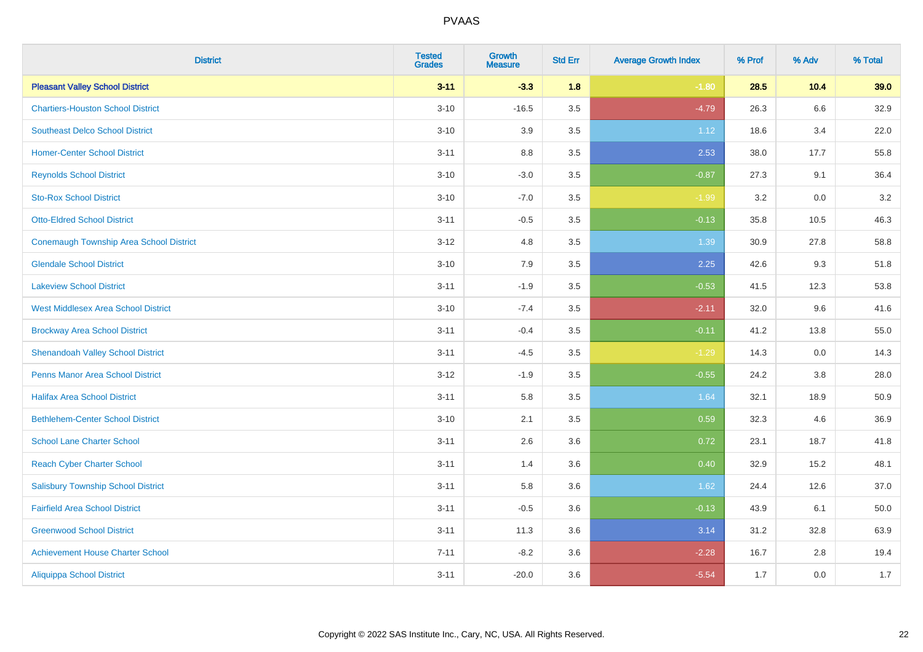| <b>District</b>                            | <b>Tested</b><br><b>Grades</b> | <b>Growth</b><br><b>Measure</b> | <b>Std Err</b> | <b>Average Growth Index</b> | % Prof | % Adv  | % Total |
|--------------------------------------------|--------------------------------|---------------------------------|----------------|-----------------------------|--------|--------|---------|
| <b>Pleasant Valley School District</b>     | $3 - 11$                       | $-3.3$                          | 1.8            | $-1.80$                     | 28.5   | $10.4$ | 39.0    |
| <b>Chartiers-Houston School District</b>   | $3 - 10$                       | $-16.5$                         | 3.5            | $-4.79$                     | 26.3   | 6.6    | 32.9    |
| <b>Southeast Delco School District</b>     | $3 - 10$                       | 3.9                             | 3.5            | 1.12                        | 18.6   | 3.4    | 22.0    |
| <b>Homer-Center School District</b>        | $3 - 11$                       | $8.8\,$                         | 3.5            | 2.53                        | 38.0   | 17.7   | 55.8    |
| <b>Reynolds School District</b>            | $3 - 10$                       | $-3.0$                          | 3.5            | $-0.87$                     | 27.3   | 9.1    | 36.4    |
| <b>Sto-Rox School District</b>             | $3 - 10$                       | $-7.0$                          | 3.5            | $-1.99$                     | 3.2    | 0.0    | $3.2\,$ |
| <b>Otto-Eldred School District</b>         | $3 - 11$                       | $-0.5$                          | 3.5            | $-0.13$                     | 35.8   | 10.5   | 46.3    |
| Conemaugh Township Area School District    | $3 - 12$                       | 4.8                             | 3.5            | 1.39                        | 30.9   | 27.8   | 58.8    |
| <b>Glendale School District</b>            | $3 - 10$                       | 7.9                             | 3.5            | 2.25                        | 42.6   | 9.3    | 51.8    |
| <b>Lakeview School District</b>            | $3 - 11$                       | $-1.9$                          | 3.5            | $-0.53$                     | 41.5   | 12.3   | 53.8    |
| <b>West Middlesex Area School District</b> | $3 - 10$                       | $-7.4$                          | 3.5            | $-2.11$                     | 32.0   | 9.6    | 41.6    |
| <b>Brockway Area School District</b>       | $3 - 11$                       | $-0.4$                          | 3.5            | $-0.11$                     | 41.2   | 13.8   | 55.0    |
| <b>Shenandoah Valley School District</b>   | $3 - 11$                       | $-4.5$                          | 3.5            | $-1.29$                     | 14.3   | 0.0    | 14.3    |
| <b>Penns Manor Area School District</b>    | $3-12$                         | $-1.9$                          | 3.5            | $-0.55$                     | 24.2   | 3.8    | 28.0    |
| <b>Halifax Area School District</b>        | $3 - 11$                       | 5.8                             | 3.5            | 1.64                        | 32.1   | 18.9   | 50.9    |
| <b>Bethlehem-Center School District</b>    | $3 - 10$                       | 2.1                             | 3.5            | 0.59                        | 32.3   | 4.6    | 36.9    |
| <b>School Lane Charter School</b>          | $3 - 11$                       | 2.6                             | 3.6            | 0.72                        | 23.1   | 18.7   | 41.8    |
| <b>Reach Cyber Charter School</b>          | $3 - 11$                       | 1.4                             | 3.6            | 0.40                        | 32.9   | 15.2   | 48.1    |
| <b>Salisbury Township School District</b>  | $3 - 11$                       | 5.8                             | 3.6            | 1.62                        | 24.4   | 12.6   | 37.0    |
| <b>Fairfield Area School District</b>      | $3 - 11$                       | $-0.5$                          | 3.6            | $-0.13$                     | 43.9   | 6.1    | 50.0    |
| <b>Greenwood School District</b>           | $3 - 11$                       | 11.3                            | 3.6            | 3.14                        | 31.2   | 32.8   | 63.9    |
| <b>Achievement House Charter School</b>    | $7 - 11$                       | $-8.2$                          | 3.6            | $-2.28$                     | 16.7   | 2.8    | 19.4    |
| <b>Aliquippa School District</b>           | $3 - 11$                       | $-20.0$                         | 3.6            | $-5.54$                     | 1.7    | 0.0    | 1.7     |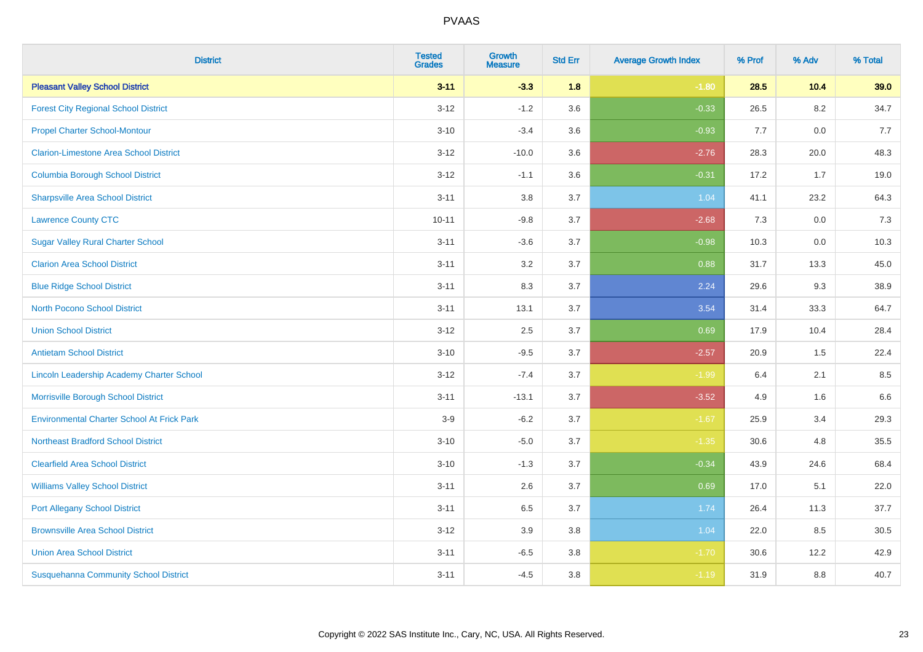| <b>District</b>                                   | <b>Tested</b><br><b>Grades</b> | <b>Growth</b><br><b>Measure</b> | <b>Std Err</b> | <b>Average Growth Index</b> | % Prof | % Adv   | % Total |
|---------------------------------------------------|--------------------------------|---------------------------------|----------------|-----------------------------|--------|---------|---------|
| <b>Pleasant Valley School District</b>            | $3 - 11$                       | $-3.3$                          | 1.8            | $-1.80$                     | 28.5   | 10.4    | 39.0    |
| <b>Forest City Regional School District</b>       | $3 - 12$                       | $-1.2$                          | 3.6            | $-0.33$                     | 26.5   | $8.2\,$ | 34.7    |
| <b>Propel Charter School-Montour</b>              | $3 - 10$                       | $-3.4$                          | 3.6            | $-0.93$                     | 7.7    | 0.0     | 7.7     |
| <b>Clarion-Limestone Area School District</b>     | $3 - 12$                       | $-10.0$                         | 3.6            | $-2.76$                     | 28.3   | 20.0    | 48.3    |
| <b>Columbia Borough School District</b>           | $3 - 12$                       | $-1.1$                          | 3.6            | $-0.31$                     | 17.2   | 1.7     | 19.0    |
| <b>Sharpsville Area School District</b>           | $3 - 11$                       | 3.8                             | 3.7            | 1.04                        | 41.1   | 23.2    | 64.3    |
| <b>Lawrence County CTC</b>                        | $10 - 11$                      | $-9.8$                          | 3.7            | $-2.68$                     | 7.3    | 0.0     | 7.3     |
| <b>Sugar Valley Rural Charter School</b>          | $3 - 11$                       | $-3.6$                          | 3.7            | $-0.98$                     | 10.3   | 0.0     | 10.3    |
| <b>Clarion Area School District</b>               | $3 - 11$                       | 3.2                             | 3.7            | 0.88                        | 31.7   | 13.3    | 45.0    |
| <b>Blue Ridge School District</b>                 | $3 - 11$                       | 8.3                             | 3.7            | 2.24                        | 29.6   | 9.3     | 38.9    |
| <b>North Pocono School District</b>               | $3 - 11$                       | 13.1                            | 3.7            | 3.54                        | 31.4   | 33.3    | 64.7    |
| <b>Union School District</b>                      | $3 - 12$                       | 2.5                             | 3.7            | 0.69                        | 17.9   | 10.4    | 28.4    |
| <b>Antietam School District</b>                   | $3 - 10$                       | $-9.5$                          | 3.7            | $-2.57$                     | 20.9   | 1.5     | 22.4    |
| Lincoln Leadership Academy Charter School         | $3 - 12$                       | $-7.4$                          | 3.7            | $-1.99$                     | 6.4    | 2.1     | 8.5     |
| Morrisville Borough School District               | $3 - 11$                       | $-13.1$                         | 3.7            | $-3.52$                     | 4.9    | 1.6     | 6.6     |
| <b>Environmental Charter School At Frick Park</b> | $3-9$                          | $-6.2$                          | 3.7            | $-1.67$                     | 25.9   | 3.4     | 29.3    |
| <b>Northeast Bradford School District</b>         | $3 - 10$                       | $-5.0$                          | 3.7            | $-1.35$                     | 30.6   | 4.8     | 35.5    |
| <b>Clearfield Area School District</b>            | $3 - 10$                       | $-1.3$                          | 3.7            | $-0.34$                     | 43.9   | 24.6    | 68.4    |
| <b>Williams Valley School District</b>            | $3 - 11$                       | 2.6                             | 3.7            | 0.69                        | 17.0   | 5.1     | 22.0    |
| <b>Port Allegany School District</b>              | $3 - 11$                       | 6.5                             | 3.7            | 1.74                        | 26.4   | 11.3    | 37.7    |
| <b>Brownsville Area School District</b>           | $3 - 12$                       | 3.9                             | 3.8            | 1.04                        | 22.0   | 8.5     | 30.5    |
| <b>Union Area School District</b>                 | $3 - 11$                       | $-6.5$                          | 3.8            | $-1.70$                     | 30.6   | 12.2    | 42.9    |
| <b>Susquehanna Community School District</b>      | $3 - 11$                       | $-4.5$                          | 3.8            | $-1.19$                     | 31.9   | 8.8     | 40.7    |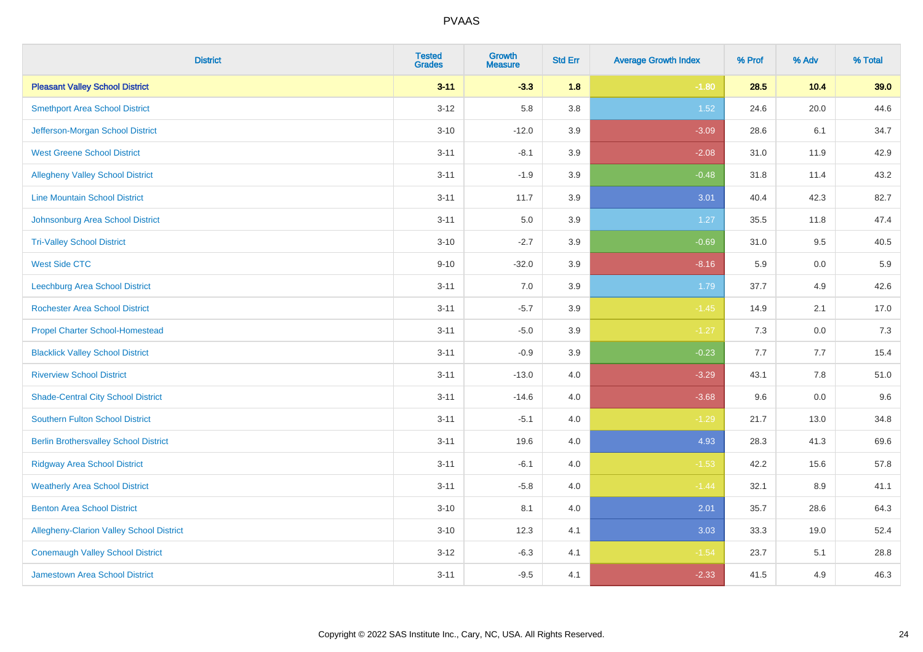| <b>District</b>                                 | <b>Tested</b><br><b>Grades</b> | <b>Growth</b><br><b>Measure</b> | <b>Std Err</b> | <b>Average Growth Index</b> | % Prof | % Adv | % Total |
|-------------------------------------------------|--------------------------------|---------------------------------|----------------|-----------------------------|--------|-------|---------|
| <b>Pleasant Valley School District</b>          | $3 - 11$                       | $-3.3$                          | 1.8            | $-1.80$                     | 28.5   | 10.4  | 39.0    |
| <b>Smethport Area School District</b>           | $3 - 12$                       | 5.8                             | 3.8            | 1.52                        | 24.6   | 20.0  | 44.6    |
| Jefferson-Morgan School District                | $3 - 10$                       | $-12.0$                         | 3.9            | $-3.09$                     | 28.6   | 6.1   | 34.7    |
| <b>West Greene School District</b>              | $3 - 11$                       | $-8.1$                          | 3.9            | $-2.08$                     | 31.0   | 11.9  | 42.9    |
| <b>Allegheny Valley School District</b>         | $3 - 11$                       | $-1.9$                          | 3.9            | $-0.48$                     | 31.8   | 11.4  | 43.2    |
| <b>Line Mountain School District</b>            | $3 - 11$                       | 11.7                            | 3.9            | 3.01                        | 40.4   | 42.3  | 82.7    |
| Johnsonburg Area School District                | $3 - 11$                       | 5.0                             | 3.9            | 1.27                        | 35.5   | 11.8  | 47.4    |
| <b>Tri-Valley School District</b>               | $3 - 10$                       | $-2.7$                          | 3.9            | $-0.69$                     | 31.0   | 9.5   | 40.5    |
| <b>West Side CTC</b>                            | $9 - 10$                       | $-32.0$                         | 3.9            | $-8.16$                     | 5.9    | 0.0   | $5.9\,$ |
| <b>Leechburg Area School District</b>           | $3 - 11$                       | 7.0                             | 3.9            | 1.79                        | 37.7   | 4.9   | 42.6    |
| <b>Rochester Area School District</b>           | $3 - 11$                       | $-5.7$                          | 3.9            | $-1.45$                     | 14.9   | 2.1   | 17.0    |
| <b>Propel Charter School-Homestead</b>          | $3 - 11$                       | $-5.0$                          | 3.9            | $-1.27$                     | 7.3    | 0.0   | 7.3     |
| <b>Blacklick Valley School District</b>         | $3 - 11$                       | $-0.9$                          | 3.9            | $-0.23$                     | 7.7    | 7.7   | 15.4    |
| <b>Riverview School District</b>                | $3 - 11$                       | $-13.0$                         | 4.0            | $-3.29$                     | 43.1   | 7.8   | 51.0    |
| <b>Shade-Central City School District</b>       | $3 - 11$                       | $-14.6$                         | 4.0            | $-3.68$                     | 9.6    | 0.0   | 9.6     |
| <b>Southern Fulton School District</b>          | $3 - 11$                       | $-5.1$                          | 4.0            | $-1.29$                     | 21.7   | 13.0  | 34.8    |
| <b>Berlin Brothersvalley School District</b>    | $3 - 11$                       | 19.6                            | 4.0            | 4.93                        | 28.3   | 41.3  | 69.6    |
| <b>Ridgway Area School District</b>             | $3 - 11$                       | $-6.1$                          | 4.0            | $-1.53$                     | 42.2   | 15.6  | 57.8    |
| <b>Weatherly Area School District</b>           | $3 - 11$                       | $-5.8$                          | 4.0            | $-1.44$                     | 32.1   | 8.9   | 41.1    |
| <b>Benton Area School District</b>              | $3 - 10$                       | 8.1                             | 4.0            | 2.01                        | 35.7   | 28.6  | 64.3    |
| <b>Allegheny-Clarion Valley School District</b> | $3 - 10$                       | 12.3                            | 4.1            | 3.03                        | 33.3   | 19.0  | 52.4    |
| <b>Conemaugh Valley School District</b>         | $3 - 12$                       | $-6.3$                          | 4.1            | $-1.54$                     | 23.7   | 5.1   | 28.8    |
| <b>Jamestown Area School District</b>           | $3 - 11$                       | $-9.5$                          | 4.1            | $-2.33$                     | 41.5   | 4.9   | 46.3    |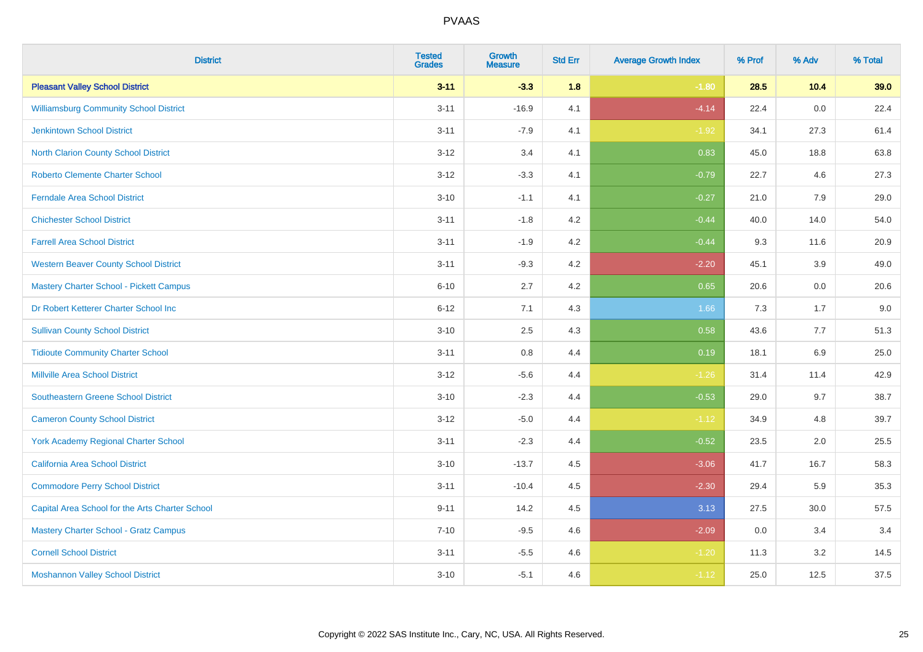| <b>District</b>                                 | <b>Tested</b><br><b>Grades</b> | <b>Growth</b><br><b>Measure</b> | <b>Std Err</b> | <b>Average Growth Index</b> | % Prof | % Adv | % Total |
|-------------------------------------------------|--------------------------------|---------------------------------|----------------|-----------------------------|--------|-------|---------|
| <b>Pleasant Valley School District</b>          | $3 - 11$                       | $-3.3$                          | 1.8            | $-1.80$                     | 28.5   | 10.4  | 39.0    |
| <b>Williamsburg Community School District</b>   | $3 - 11$                       | $-16.9$                         | 4.1            | $-4.14$                     | 22.4   | 0.0   | 22.4    |
| <b>Jenkintown School District</b>               | $3 - 11$                       | $-7.9$                          | 4.1            | $-1.92$                     | 34.1   | 27.3  | 61.4    |
| North Clarion County School District            | $3 - 12$                       | 3.4                             | 4.1            | 0.83                        | 45.0   | 18.8  | 63.8    |
| <b>Roberto Clemente Charter School</b>          | $3 - 12$                       | $-3.3$                          | 4.1            | $-0.79$                     | 22.7   | 4.6   | 27.3    |
| <b>Ferndale Area School District</b>            | $3 - 10$                       | $-1.1$                          | 4.1            | $-0.27$                     | 21.0   | 7.9   | 29.0    |
| <b>Chichester School District</b>               | $3 - 11$                       | $-1.8$                          | 4.2            | $-0.44$                     | 40.0   | 14.0  | 54.0    |
| <b>Farrell Area School District</b>             | $3 - 11$                       | $-1.9$                          | 4.2            | $-0.44$                     | 9.3    | 11.6  | 20.9    |
| <b>Western Beaver County School District</b>    | $3 - 11$                       | $-9.3$                          | 4.2            | $-2.20$                     | 45.1   | 3.9   | 49.0    |
| <b>Mastery Charter School - Pickett Campus</b>  | $6 - 10$                       | 2.7                             | 4.2            | 0.65                        | 20.6   | 0.0   | 20.6    |
| Dr Robert Ketterer Charter School Inc           | $6 - 12$                       | 7.1                             | 4.3            | 1.66                        | 7.3    | 1.7   | 9.0     |
| <b>Sullivan County School District</b>          | $3 - 10$                       | 2.5                             | 4.3            | 0.58                        | 43.6   | 7.7   | 51.3    |
| <b>Tidioute Community Charter School</b>        | $3 - 11$                       | $0.8\,$                         | 4.4            | 0.19                        | 18.1   | 6.9   | 25.0    |
| <b>Millville Area School District</b>           | $3 - 12$                       | $-5.6$                          | 4.4            | $-1.26$                     | 31.4   | 11.4  | 42.9    |
| <b>Southeastern Greene School District</b>      | $3 - 10$                       | $-2.3$                          | 4.4            | $-0.53$                     | 29.0   | 9.7   | 38.7    |
| <b>Cameron County School District</b>           | $3 - 12$                       | $-5.0$                          | 4.4            | $-1.12$                     | 34.9   | 4.8   | 39.7    |
| <b>York Academy Regional Charter School</b>     | $3 - 11$                       | $-2.3$                          | 4.4            | $-0.52$                     | 23.5   | 2.0   | 25.5    |
| California Area School District                 | $3 - 10$                       | $-13.7$                         | 4.5            | $-3.06$                     | 41.7   | 16.7  | 58.3    |
| <b>Commodore Perry School District</b>          | $3 - 11$                       | $-10.4$                         | 4.5            | $-2.30$                     | 29.4   | 5.9   | 35.3    |
| Capital Area School for the Arts Charter School | $9 - 11$                       | 14.2                            | 4.5            | 3.13                        | 27.5   | 30.0  | 57.5    |
| <b>Mastery Charter School - Gratz Campus</b>    | $7 - 10$                       | $-9.5$                          | 4.6            | $-2.09$                     | 0.0    | 3.4   | 3.4     |
| <b>Cornell School District</b>                  | $3 - 11$                       | $-5.5$                          | 4.6            | $-1.20$                     | 11.3   | 3.2   | 14.5    |
| <b>Moshannon Valley School District</b>         | $3 - 10$                       | $-5.1$                          | 4.6            | $-1.12$                     | 25.0   | 12.5  | 37.5    |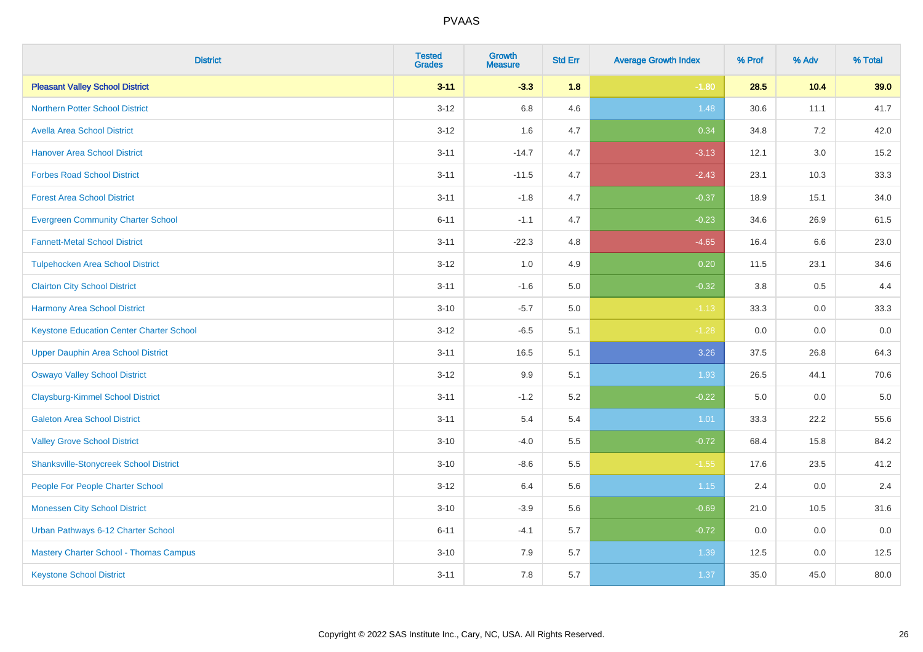| <b>District</b>                                 | <b>Tested</b><br><b>Grades</b> | <b>Growth</b><br><b>Measure</b> | <b>Std Err</b> | <b>Average Growth Index</b> | % Prof | % Adv   | % Total |
|-------------------------------------------------|--------------------------------|---------------------------------|----------------|-----------------------------|--------|---------|---------|
| <b>Pleasant Valley School District</b>          | $3 - 11$                       | $-3.3$                          | 1.8            | $-1.80$                     | 28.5   | 10.4    | 39.0    |
| <b>Northern Potter School District</b>          | $3 - 12$                       | 6.8                             | 4.6            | 1.48                        | 30.6   | 11.1    | 41.7    |
| <b>Avella Area School District</b>              | $3 - 12$                       | 1.6                             | 4.7            | 0.34                        | 34.8   | 7.2     | 42.0    |
| <b>Hanover Area School District</b>             | $3 - 11$                       | $-14.7$                         | 4.7            | $-3.13$                     | 12.1   | 3.0     | 15.2    |
| <b>Forbes Road School District</b>              | $3 - 11$                       | $-11.5$                         | 4.7            | $-2.43$                     | 23.1   | 10.3    | 33.3    |
| <b>Forest Area School District</b>              | $3 - 11$                       | $-1.8$                          | 4.7            | $-0.37$                     | 18.9   | 15.1    | 34.0    |
| <b>Evergreen Community Charter School</b>       | $6 - 11$                       | $-1.1$                          | 4.7            | $-0.23$                     | 34.6   | 26.9    | 61.5    |
| <b>Fannett-Metal School District</b>            | $3 - 11$                       | $-22.3$                         | 4.8            | $-4.65$                     | 16.4   | 6.6     | 23.0    |
| <b>Tulpehocken Area School District</b>         | $3 - 12$                       | 1.0                             | 4.9            | 0.20                        | 11.5   | 23.1    | 34.6    |
| <b>Clairton City School District</b>            | $3 - 11$                       | $-1.6$                          | 5.0            | $-0.32$                     | 3.8    | $0.5\,$ | 4.4     |
| <b>Harmony Area School District</b>             | $3 - 10$                       | $-5.7$                          | 5.0            | $-1.13$                     | 33.3   | 0.0     | 33.3    |
| <b>Keystone Education Center Charter School</b> | $3 - 12$                       | $-6.5$                          | 5.1            | $-1.28$                     | 0.0    | 0.0     | 0.0     |
| <b>Upper Dauphin Area School District</b>       | $3 - 11$                       | 16.5                            | 5.1            | 3.26                        | 37.5   | 26.8    | 64.3    |
| <b>Oswayo Valley School District</b>            | $3 - 12$                       | 9.9                             | 5.1            | 1.93                        | 26.5   | 44.1    | 70.6    |
| <b>Claysburg-Kimmel School District</b>         | $3 - 11$                       | $-1.2$                          | 5.2            | $-0.22$                     | 5.0    | 0.0     | $5.0\,$ |
| <b>Galeton Area School District</b>             | $3 - 11$                       | 5.4                             | 5.4            | 1.01                        | 33.3   | 22.2    | 55.6    |
| <b>Valley Grove School District</b>             | $3 - 10$                       | $-4.0$                          | 5.5            | $-0.72$                     | 68.4   | 15.8    | 84.2    |
| <b>Shanksville-Stonycreek School District</b>   | $3 - 10$                       | $-8.6$                          | 5.5            | $-1.55$                     | 17.6   | 23.5    | 41.2    |
| People For People Charter School                | $3-12$                         | 6.4                             | 5.6            | 1.15                        | 2.4    | 0.0     | 2.4     |
| <b>Monessen City School District</b>            | $3 - 10$                       | $-3.9$                          | 5.6            | $-0.69$                     | 21.0   | 10.5    | 31.6    |
| Urban Pathways 6-12 Charter School              | $6 - 11$                       | $-4.1$                          | 5.7            | $-0.72$                     | 0.0    | 0.0     | 0.0     |
| Mastery Charter School - Thomas Campus          | $3 - 10$                       | 7.9                             | 5.7            | 1.39                        | 12.5   | 0.0     | 12.5    |
| <b>Keystone School District</b>                 | $3 - 11$                       | 7.8                             | 5.7            | 1.37                        | 35.0   | 45.0    | 80.0    |